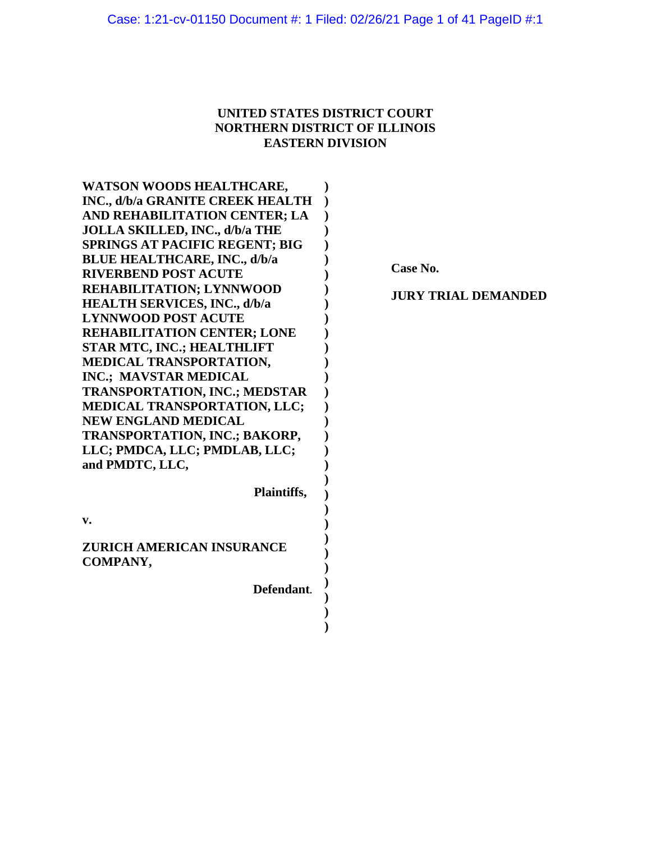# **UNITED STATES DISTRICT COURT NORTHERN DISTRICT OF ILLINOIS EASTERN DIVISION**

**) )**

| WATSON WOODS HEALTHCARE,              |  |
|---------------------------------------|--|
| INC., d/b/a GRANITE CREEK HEALTH      |  |
| AND REHABILITATION CENTER; LA         |  |
| <b>JOLLA SKILLED, INC., d/b/a THE</b> |  |
| <b>SPRINGS AT PACIFIC REGENT; BIG</b> |  |
| <b>BLUE HEALTHCARE, INC., d/b/a</b>   |  |
| <b>RIVERBEND POST ACUTE</b>           |  |
| REHABILITATION; LYNNWOOD              |  |
| <b>HEALTH SERVICES, INC., d/b/a</b>   |  |
| <b>LYNNWOOD POST ACUTE</b>            |  |
| <b>REHABILITATION CENTER; LONE</b>    |  |
| <b>STAR MTC, INC.; HEALTHLIFT</b>     |  |
| MEDICAL TRANSPORTATION,               |  |
| INC.; MAVSTAR MEDICAL                 |  |
| TRANSPORTATION, INC.; MEDSTAR         |  |
| MEDICAL TRANSPORTATION, LLC;          |  |
| <b>NEW ENGLAND MEDICAL</b>            |  |
| TRANSPORTATION, INC.; BAKORP,         |  |
| LLC; PMDCA, LLC; PMDLAB, LLC;         |  |
| and PMDTC, LLC,                       |  |
|                                       |  |
| Plaintiffs,                           |  |
|                                       |  |
| v.                                    |  |
| ZURICH AMERICAN INSURANCE             |  |
| COMPANY,                              |  |
|                                       |  |
| Defendant.                            |  |
|                                       |  |

**Case No.**

**JURY TRIAL DEMANDED**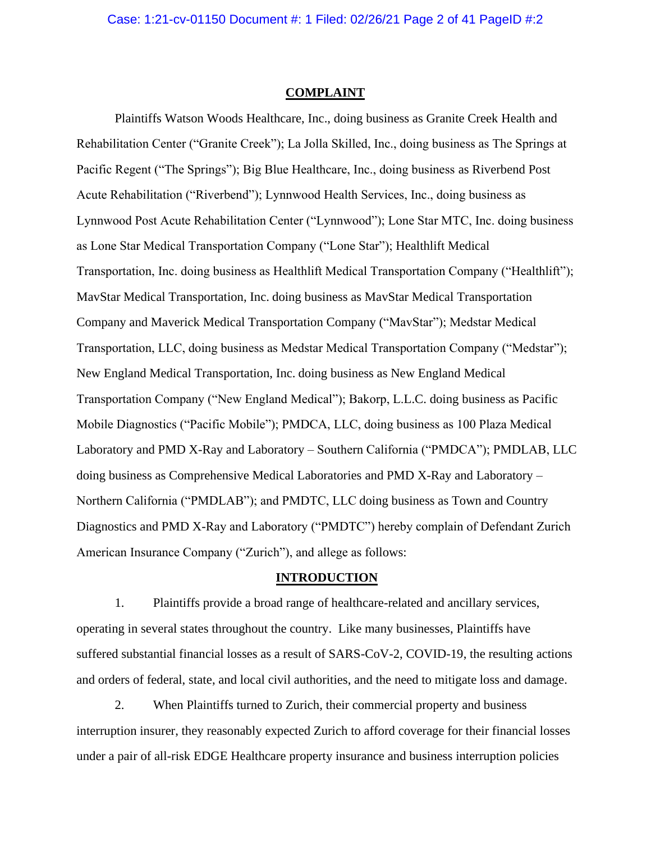#### **COMPLAINT**

Plaintiffs Watson Woods Healthcare, Inc., doing business as Granite Creek Health and Rehabilitation Center ("Granite Creek"); La Jolla Skilled, Inc., doing business as The Springs at Pacific Regent ("The Springs"); Big Blue Healthcare, Inc., doing business as Riverbend Post Acute Rehabilitation ("Riverbend"); Lynnwood Health Services, Inc., doing business as Lynnwood Post Acute Rehabilitation Center ("Lynnwood"); Lone Star MTC, Inc. doing business as Lone Star Medical Transportation Company ("Lone Star"); Healthlift Medical Transportation, Inc. doing business as Healthlift Medical Transportation Company ("Healthlift"); MavStar Medical Transportation, Inc. doing business as MavStar Medical Transportation Company and Maverick Medical Transportation Company ("MavStar"); Medstar Medical Transportation, LLC, doing business as Medstar Medical Transportation Company ("Medstar"); New England Medical Transportation, Inc. doing business as New England Medical Transportation Company ("New England Medical"); Bakorp, L.L.C. doing business as Pacific Mobile Diagnostics ("Pacific Mobile"); PMDCA, LLC, doing business as 100 Plaza Medical Laboratory and PMD X-Ray and Laboratory – Southern California ("PMDCA"); PMDLAB, LLC doing business as Comprehensive Medical Laboratories and PMD X-Ray and Laboratory – Northern California ("PMDLAB"); and PMDTC, LLC doing business as Town and Country Diagnostics and PMD X-Ray and Laboratory ("PMDTC") hereby complain of Defendant Zurich American Insurance Company ("Zurich"), and allege as follows:

### **INTRODUCTION**

1. Plaintiffs provide a broad range of healthcare-related and ancillary services, operating in several states throughout the country. Like many businesses, Plaintiffs have suffered substantial financial losses as a result of SARS-CoV-2, COVID-19, the resulting actions and orders of federal, state, and local civil authorities, and the need to mitigate loss and damage.

2. When Plaintiffs turned to Zurich, their commercial property and business interruption insurer, they reasonably expected Zurich to afford coverage for their financial losses under a pair of all-risk EDGE Healthcare property insurance and business interruption policies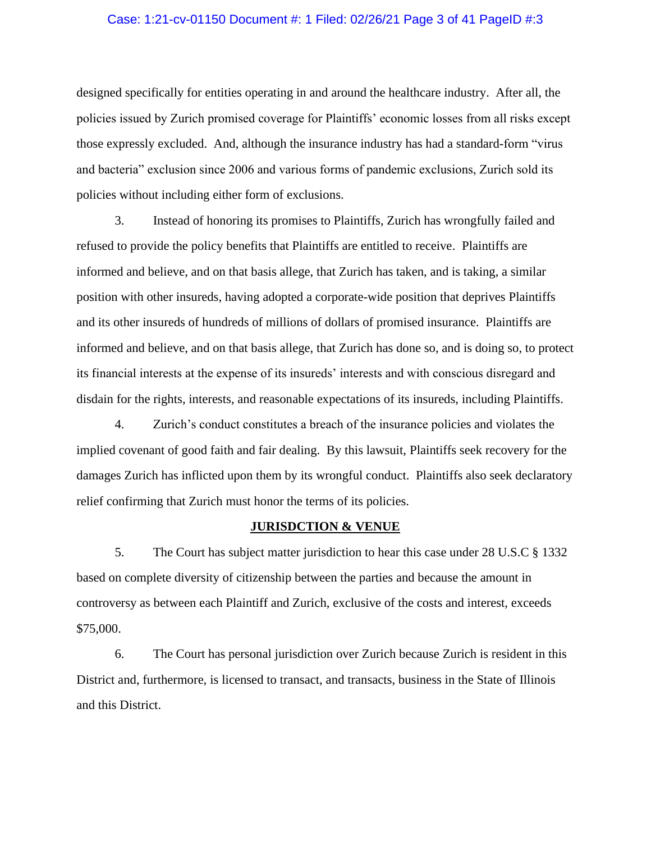# Case: 1:21-cv-01150 Document #: 1 Filed: 02/26/21 Page 3 of 41 PageID #:3

designed specifically for entities operating in and around the healthcare industry. After all, the policies issued by Zurich promised coverage for Plaintiffs' economic losses from all risks except those expressly excluded. And, although the insurance industry has had a standard-form "virus and bacteria" exclusion since 2006 and various forms of pandemic exclusions, Zurich sold its policies without including either form of exclusions.

3. Instead of honoring its promises to Plaintiffs, Zurich has wrongfully failed and refused to provide the policy benefits that Plaintiffs are entitled to receive. Plaintiffs are informed and believe, and on that basis allege, that Zurich has taken, and is taking, a similar position with other insureds, having adopted a corporate-wide position that deprives Plaintiffs and its other insureds of hundreds of millions of dollars of promised insurance. Plaintiffs are informed and believe, and on that basis allege, that Zurich has done so, and is doing so, to protect its financial interests at the expense of its insureds' interests and with conscious disregard and disdain for the rights, interests, and reasonable expectations of its insureds, including Plaintiffs.

4. Zurich's conduct constitutes a breach of the insurance policies and violates the implied covenant of good faith and fair dealing. By this lawsuit, Plaintiffs seek recovery for the damages Zurich has inflicted upon them by its wrongful conduct. Plaintiffs also seek declaratory relief confirming that Zurich must honor the terms of its policies.

# **JURISDCTION & VENUE**

5. The Court has subject matter jurisdiction to hear this case under 28 U.S.C § 1332 based on complete diversity of citizenship between the parties and because the amount in controversy as between each Plaintiff and Zurich, exclusive of the costs and interest, exceeds \$75,000.

6. The Court has personal jurisdiction over Zurich because Zurich is resident in this District and, furthermore, is licensed to transact, and transacts, business in the State of Illinois and this District.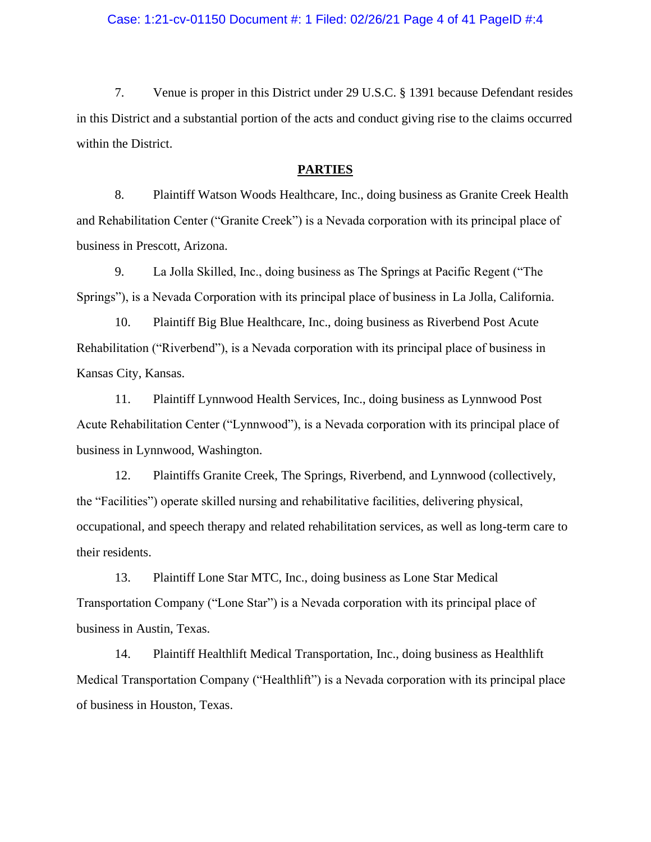## Case: 1:21-cv-01150 Document #: 1 Filed: 02/26/21 Page 4 of 41 PageID #:4

7. Venue is proper in this District under 29 U.S.C. § 1391 because Defendant resides in this District and a substantial portion of the acts and conduct giving rise to the claims occurred within the District.

### **PARTIES**

8. Plaintiff Watson Woods Healthcare, Inc., doing business as Granite Creek Health and Rehabilitation Center ("Granite Creek") is a Nevada corporation with its principal place of business in Prescott, Arizona.

9. La Jolla Skilled, Inc., doing business as The Springs at Pacific Regent ("The Springs"), is a Nevada Corporation with its principal place of business in La Jolla, California.

10. Plaintiff Big Blue Healthcare, Inc., doing business as Riverbend Post Acute Rehabilitation ("Riverbend"), is a Nevada corporation with its principal place of business in Kansas City, Kansas.

11. Plaintiff Lynnwood Health Services, Inc., doing business as Lynnwood Post Acute Rehabilitation Center ("Lynnwood"), is a Nevada corporation with its principal place of business in Lynnwood, Washington.

12. Plaintiffs Granite Creek, The Springs, Riverbend, and Lynnwood (collectively, the "Facilities") operate skilled nursing and rehabilitative facilities, delivering physical, occupational, and speech therapy and related rehabilitation services, as well as long-term care to their residents.

13. Plaintiff Lone Star MTC, Inc., doing business as Lone Star Medical Transportation Company ("Lone Star") is a Nevada corporation with its principal place of business in Austin, Texas.

14. Plaintiff Healthlift Medical Transportation, Inc., doing business as Healthlift Medical Transportation Company ("Healthlift") is a Nevada corporation with its principal place of business in Houston, Texas.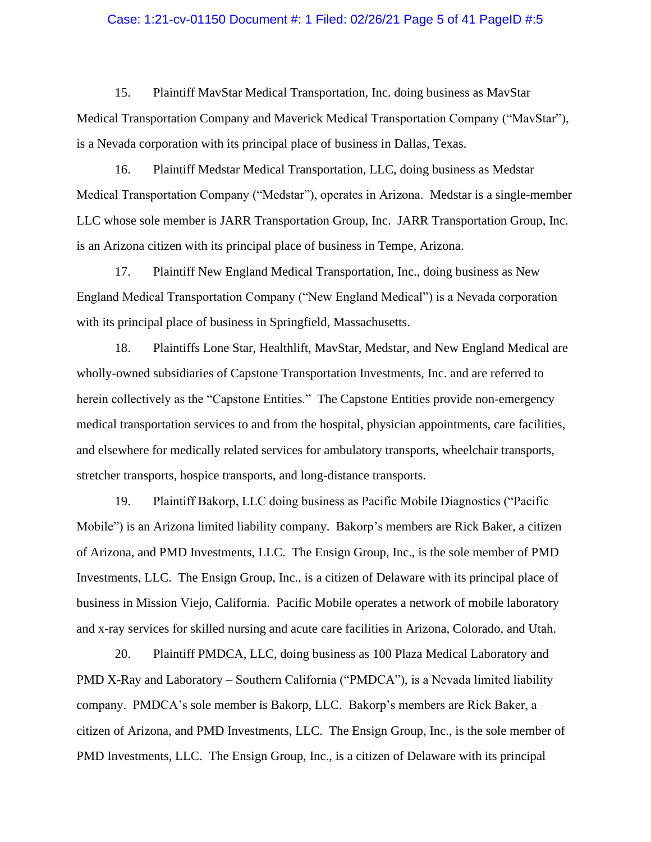## Case: 1:21-cv-01150 Document #: 1 Filed: 02/26/21 Page 5 of 41 PageID #:5

15. Plaintiff MavStar Medical Transportation, Inc. doing business as MavStar Medical Transportation Company and Maverick Medical Transportation Company ("MavStar"), is a Nevada corporation with its principal place of business in Dallas, Texas.

16. Plaintiff Medstar Medical Transportation, LLC, doing business as Medstar Medical Transportation Company ("Medstar"), operates in Arizona. Medstar is a single-member LLC whose sole member is JARR Transportation Group, Inc. JARR Transportation Group, Inc. is an Arizona citizen with its principal place of business in Tempe, Arizona.

17. Plaintiff New England Medical Transportation, Inc., doing business as New England Medical Transportation Company ("New England Medical") is a Nevada corporation with its principal place of business in Springfield, Massachusetts.

18. Plaintiffs Lone Star, Healthlift, MavStar, Medstar, and New England Medical are wholly-owned subsidiaries of Capstone Transportation Investments, Inc. and are referred to herein collectively as the "Capstone Entities." The Capstone Entities provide non-emergency medical transportation services to and from the hospital, physician appointments, care facilities, and elsewhere for medically related services for ambulatory transports, wheelchair transports, stretcher transports, hospice transports, and long-distance transports.

19. Plaintiff Bakorp, LLC doing business as Pacific Mobile Diagnostics ("Pacific Mobile") is an Arizona limited liability company. Bakorp's members are Rick Baker, a citizen of Arizona, and PMD Investments, LLC. The Ensign Group, Inc., is the sole member of PMD Investments, LLC. The Ensign Group, Inc., is a citizen of Delaware with its principal place of business in Mission Viejo, California. Pacific Mobile operates a network of mobile laboratory and x-ray services for skilled nursing and acute care facilities in Arizona, Colorado, and Utah.

20. Plaintiff PMDCA, LLC, doing business as 100 Plaza Medical Laboratory and PMD X-Ray and Laboratory – Southern California ("PMDCA"), is a Nevada limited liability company. PMDCA's sole member is Bakorp, LLC. Bakorp's members are Rick Baker, a citizen of Arizona, and PMD Investments, LLC. The Ensign Group, Inc., is the sole member of PMD Investments, LLC. The Ensign Group, Inc., is a citizen of Delaware with its principal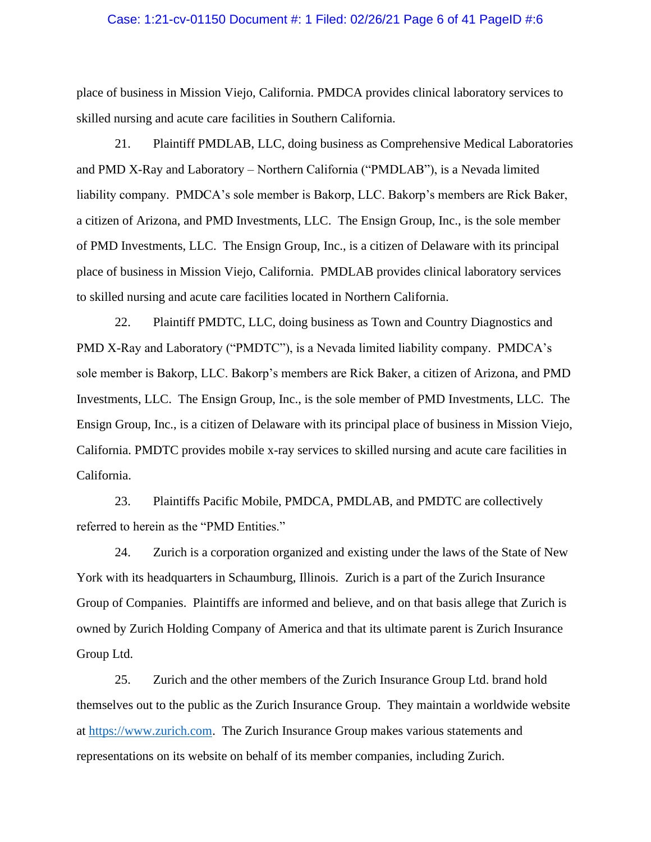## Case: 1:21-cv-01150 Document #: 1 Filed: 02/26/21 Page 6 of 41 PageID #:6

place of business in Mission Viejo, California. PMDCA provides clinical laboratory services to skilled nursing and acute care facilities in Southern California.

21. Plaintiff PMDLAB, LLC, doing business as Comprehensive Medical Laboratories and PMD X-Ray and Laboratory – Northern California ("PMDLAB"), is a Nevada limited liability company. PMDCA's sole member is Bakorp, LLC. Bakorp's members are Rick Baker, a citizen of Arizona, and PMD Investments, LLC. The Ensign Group, Inc., is the sole member of PMD Investments, LLC. The Ensign Group, Inc., is a citizen of Delaware with its principal place of business in Mission Viejo, California. PMDLAB provides clinical laboratory services to skilled nursing and acute care facilities located in Northern California.

22. Plaintiff PMDTC, LLC, doing business as Town and Country Diagnostics and PMD X-Ray and Laboratory ("PMDTC"), is a Nevada limited liability company. PMDCA's sole member is Bakorp, LLC. Bakorp's members are Rick Baker, a citizen of Arizona, and PMD Investments, LLC. The Ensign Group, Inc., is the sole member of PMD Investments, LLC. The Ensign Group, Inc., is a citizen of Delaware with its principal place of business in Mission Viejo, California. PMDTC provides mobile x-ray services to skilled nursing and acute care facilities in California.

23. Plaintiffs Pacific Mobile, PMDCA, PMDLAB, and PMDTC are collectively referred to herein as the "PMD Entities."

24. Zurich is a corporation organized and existing under the laws of the State of New York with its headquarters in Schaumburg, Illinois. Zurich is a part of the Zurich Insurance Group of Companies. Plaintiffs are informed and believe, and on that basis allege that Zurich is owned by Zurich Holding Company of America and that its ultimate parent is Zurich Insurance Group Ltd.

25. Zurich and the other members of the Zurich Insurance Group Ltd. brand hold themselves out to the public as the Zurich Insurance Group. They maintain a worldwide website at [https://www.zurich.com.](https://www.zurich.com/) The Zurich Insurance Group makes various statements and representations on its website on behalf of its member companies, including Zurich.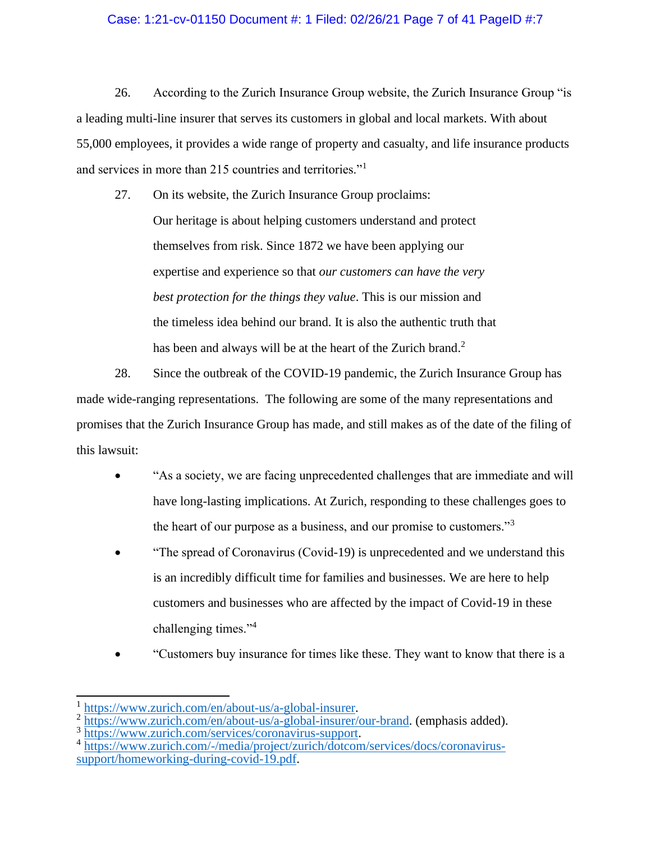# Case: 1:21-cv-01150 Document #: 1 Filed: 02/26/21 Page 7 of 41 PageID #:7

26. According to the Zurich Insurance Group website, the Zurich Insurance Group "is a leading multi-line insurer that serves its customers in global and local markets. With about 55,000 employees, it provides a wide range of property and casualty, and life insurance products and services in more than 215 countries and territories."<sup>1</sup>

27. On its website, the Zurich Insurance Group proclaims: Our heritage is about helping customers understand and protect themselves from risk. Since 1872 we have been applying our expertise and experience so that *our customers can have the very best protection for the things they value*. This is our mission and the timeless idea behind our brand. It is also the authentic truth that has been and always will be at the heart of the Zurich brand.<sup>2</sup>

28. Since the outbreak of the COVID-19 pandemic, the Zurich Insurance Group has made wide-ranging representations. The following are some of the many representations and promises that the Zurich Insurance Group has made, and still makes as of the date of the filing of this lawsuit:

- "As a society, we are facing unprecedented challenges that are immediate and will have long-lasting implications. At Zurich, responding to these challenges goes to the heart of our purpose as a business, and our promise to customers."<sup>3</sup>
- "The spread of Coronavirus (Covid-19) is unprecedented and we understand this is an incredibly difficult time for families and businesses. We are here to help customers and businesses who are affected by the impact of Covid-19 in these challenging times."<sup>4</sup>
- "Customers buy insurance for times like these. They want to know that there is a

<sup>1</sup> [https://www.zurich.com/en/about-us/a-global-insurer.](https://www.zurich.com/en/about-us/a-global-insurer)

<sup>&</sup>lt;sup>2</sup> [https://www.zurich.com/en/about-us/a-global-insurer/our-brand.](https://www.zurich.com/en/about-us/a-global-insurer/our-brand) (emphasis added).

<sup>&</sup>lt;sup>3</sup> [https://www.zurich.com/services/coronavirus-support.](https://www.zurich.com/services/coronavirus-support)

<sup>&</sup>lt;sup>4</sup> [https://www.zurich.com/-/media/project/zurich/dotcom/services/docs/coronavirus](https://www.zurich.com/-/media/project/zurich/dotcom/services/docs/coronavirus-support/homeworking-during-covid-19.pdf)[support/homeworking-during-covid-19.pdf.](https://www.zurich.com/-/media/project/zurich/dotcom/services/docs/coronavirus-support/homeworking-during-covid-19.pdf)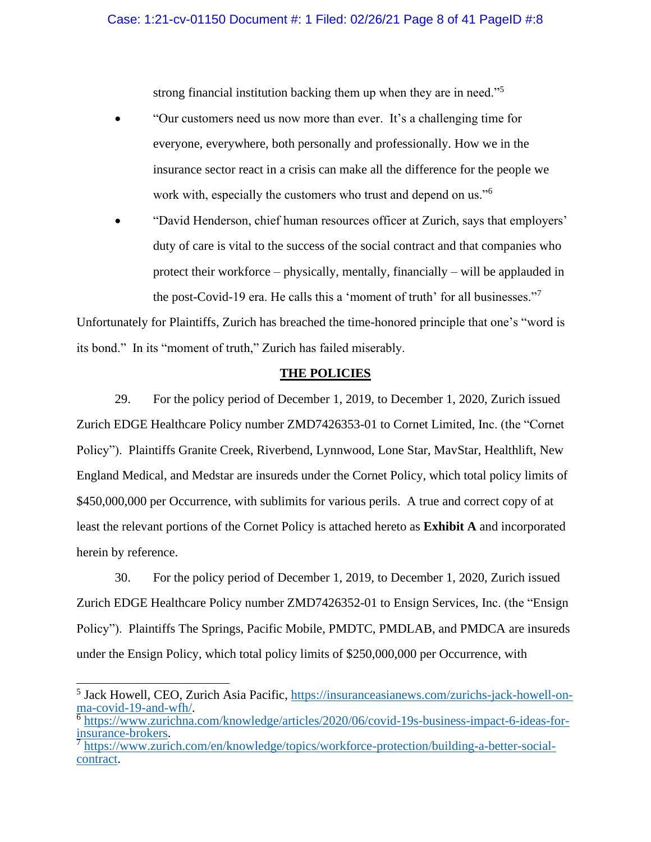strong financial institution backing them up when they are in need."<sup>5</sup>

- "Our customers need us now more than ever. It's a challenging time for everyone, everywhere, both personally and professionally. How we in the insurance sector react in a crisis can make all the difference for the people we work with, especially the customers who trust and depend on us."<sup>6</sup>
- "David Henderson, chief human resources officer at Zurich, says that employers' duty of care is vital to the success of the social contract and that companies who protect their workforce – physically, mentally, financially – will be applauded in the post-Covid-19 era. He calls this a 'moment of truth' for all businesses."<sup>7</sup>

Unfortunately for Plaintiffs, Zurich has breached the time-honored principle that one's "word is its bond." In its "moment of truth," Zurich has failed miserably.

# **THE POLICIES**

29. For the policy period of December 1, 2019, to December 1, 2020, Zurich issued Zurich EDGE Healthcare Policy number ZMD7426353-01 to Cornet Limited, Inc. (the "Cornet Policy"). Plaintiffs Granite Creek, Riverbend, Lynnwood, Lone Star, MavStar, Healthlift, New England Medical, and Medstar are insureds under the Cornet Policy, which total policy limits of \$450,000,000 per Occurrence, with sublimits for various perils. A true and correct copy of at least the relevant portions of the Cornet Policy is attached hereto as **Exhibit A** and incorporated herein by reference.

30. For the policy period of December 1, 2019, to December 1, 2020, Zurich issued Zurich EDGE Healthcare Policy number ZMD7426352-01 to Ensign Services, Inc. (the "Ensign Policy"). Plaintiffs The Springs, Pacific Mobile, PMDTC, PMDLAB, and PMDCA are insureds under the Ensign Policy, which total policy limits of \$250,000,000 per Occurrence, with

<sup>&</sup>lt;sup>5</sup> Jack Howell, CEO, Zurich Asia Pacific, [https://insuranceasianews.com/zurichs-jack-howell-on](https://insuranceasianews.com/zurichs-jack-howell-on-ma-covid-19-and-wfh/)[ma-covid-19-and-wfh/.](https://insuranceasianews.com/zurichs-jack-howell-on-ma-covid-19-and-wfh/)

<sup>&</sup>lt;sup>6</sup> [https://www.zurichna.com/knowledge/articles/2020/06/covid-19s-business-impact-6-ideas-for](https://www.zurichna.com/knowledge/articles/2020/06/covid-19s-business-impact-6-ideas-for-insurance-brokers)[insurance-brokers.](https://www.zurichna.com/knowledge/articles/2020/06/covid-19s-business-impact-6-ideas-for-insurance-brokers)

<sup>&</sup>lt;sup>7</sup> [https://www.zurich.com/en/knowledge/topics/workforce-protection/building-a-better-social](https://www.zurich.com/en/knowledge/topics/workforce-protection/building-a-better-social-contract)[contract.](https://www.zurich.com/en/knowledge/topics/workforce-protection/building-a-better-social-contract)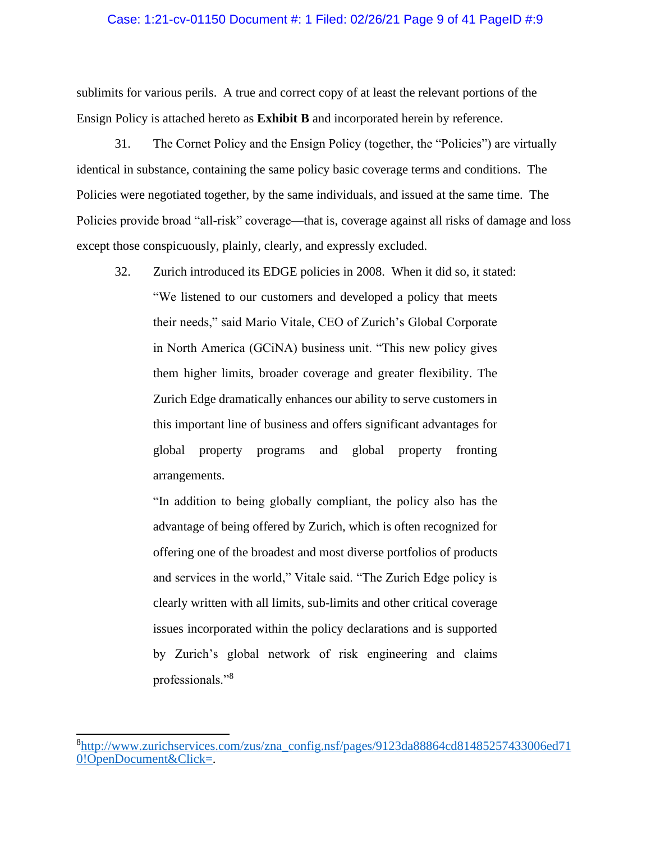# Case: 1:21-cv-01150 Document #: 1 Filed: 02/26/21 Page 9 of 41 PageID #:9

sublimits for various perils. A true and correct copy of at least the relevant portions of the Ensign Policy is attached hereto as **Exhibit B** and incorporated herein by reference.

31. The Cornet Policy and the Ensign Policy (together, the "Policies") are virtually identical in substance, containing the same policy basic coverage terms and conditions. The Policies were negotiated together, by the same individuals, and issued at the same time. The Policies provide broad "all-risk" coverage—that is, coverage against all risks of damage and loss except those conspicuously, plainly, clearly, and expressly excluded.

32. Zurich introduced its EDGE policies in 2008. When it did so, it stated: "We listened to our customers and developed a policy that meets their needs," said Mario Vitale, CEO of Zurich's Global Corporate in North America (GCiNA) business unit. "This new policy gives them higher limits, broader coverage and greater flexibility. The Zurich Edge dramatically enhances our ability to serve customers in this important line of business and offers significant advantages for global property programs and global property fronting arrangements.

"In addition to being globally compliant, the policy also has the advantage of being offered by Zurich, which is often recognized for offering one of the broadest and most diverse portfolios of products and services in the world," Vitale said. "The Zurich Edge policy is clearly written with all limits, sub-limits and other critical coverage issues incorporated within the policy declarations and is supported by Zurich's global network of risk engineering and claims professionals."<sup>8</sup>

<sup>8</sup> [http://www.zurichservices.com/zus/zna\\_config.nsf/pages/9123da88864cd81485257433006ed71](http://www.zurichservices.com/zus/zna_config.nsf/pages/9123da88864cd81485257433006ed710!OpenDocument&Click=) [0!OpenDocument&Click=.](http://www.zurichservices.com/zus/zna_config.nsf/pages/9123da88864cd81485257433006ed710!OpenDocument&Click=)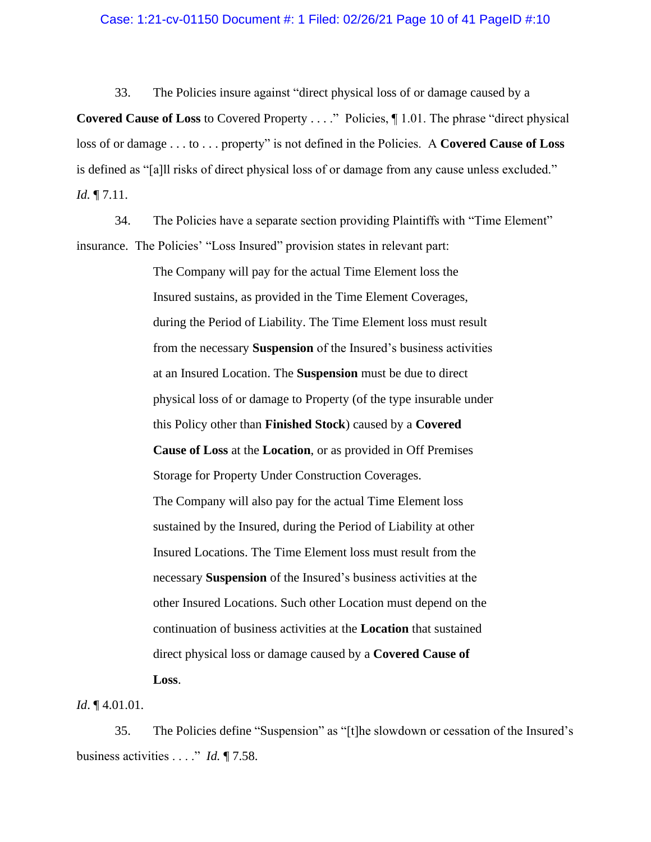## Case: 1:21-cv-01150 Document #: 1 Filed: 02/26/21 Page 10 of 41 PageID #:10

33. The Policies insure against "direct physical loss of or damage caused by a **Covered Cause of Loss** to Covered Property . . . ." Policies,  $\P$  1.01. The phrase "direct physical loss of or damage . . . to . . . property" is not defined in the Policies. A **Covered Cause of Loss** is defined as "[a]ll risks of direct physical loss of or damage from any cause unless excluded." *Id.* ¶ 7.11.

34. The Policies have a separate section providing Plaintiffs with "Time Element" insurance. The Policies' "Loss Insured" provision states in relevant part:

> The Company will pay for the actual Time Element loss the Insured sustains, as provided in the Time Element Coverages, during the Period of Liability. The Time Element loss must result from the necessary **Suspension** of the Insured's business activities at an Insured Location. The **Suspension** must be due to direct physical loss of or damage to Property (of the type insurable under this Policy other than **Finished Stock**) caused by a **Covered Cause of Loss** at the **Location**, or as provided in Off Premises Storage for Property Under Construction Coverages. The Company will also pay for the actual Time Element loss sustained by the Insured, during the Period of Liability at other Insured Locations. The Time Element loss must result from the necessary **Suspension** of the Insured's business activities at the other Insured Locations. Such other Location must depend on the continuation of business activities at the **Location** that sustained direct physical loss or damage caused by a **Covered Cause of Loss**.

*Id*. ¶ 4.01.01.

35. The Policies define "Suspension" as "[t]he slowdown or cessation of the Insured's business activities . . . ." *Id.* ¶ 7.58.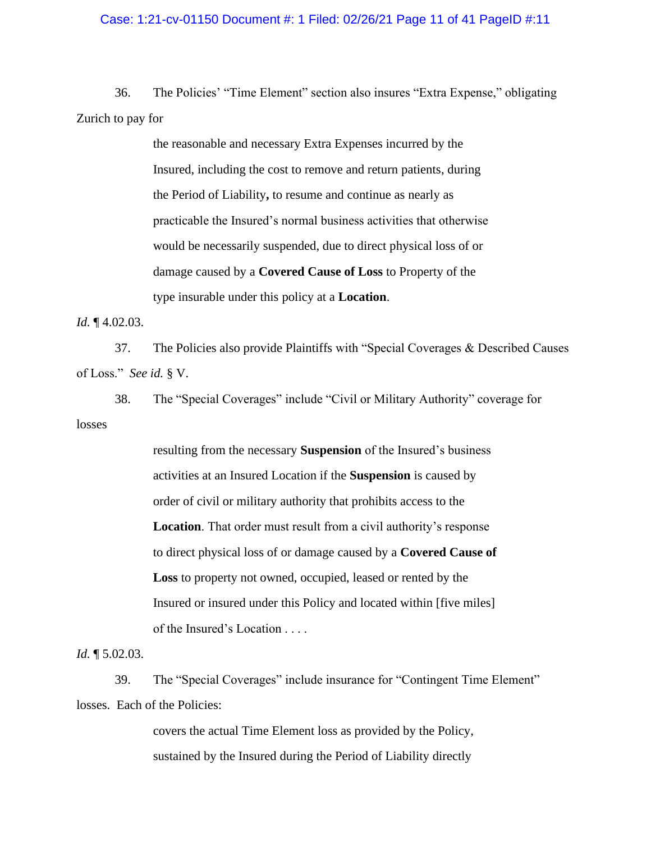## Case: 1:21-cv-01150 Document #: 1 Filed: 02/26/21 Page 11 of 41 PageID #:11

36. The Policies' "Time Element" section also insures "Extra Expense," obligating Zurich to pay for

> the reasonable and necessary Extra Expenses incurred by the Insured, including the cost to remove and return patients, during the Period of Liability**,** to resume and continue as nearly as practicable the Insured's normal business activities that otherwise would be necessarily suspended, due to direct physical loss of or damage caused by a **Covered Cause of Loss** to Property of the type insurable under this policy at a **Location**.

*Id.* ¶ 4.02.03.

37. The Policies also provide Plaintiffs with "Special Coverages & Described Causes of Loss." *See id.* § V.

38. The "Special Coverages" include "Civil or Military Authority" coverage for losses

> resulting from the necessary **Suspension** of the Insured's business activities at an Insured Location if the **Suspension** is caused by order of civil or military authority that prohibits access to the **Location**. That order must result from a civil authority's response to direct physical loss of or damage caused by a **Covered Cause of Loss** to property not owned, occupied, leased or rented by the Insured or insured under this Policy and located within [five miles] of the Insured's Location . . . .

*Id.* ¶ 5.02.03.

39. The "Special Coverages" include insurance for "Contingent Time Element" losses. Each of the Policies:

> covers the actual Time Element loss as provided by the Policy, sustained by the Insured during the Period of Liability directly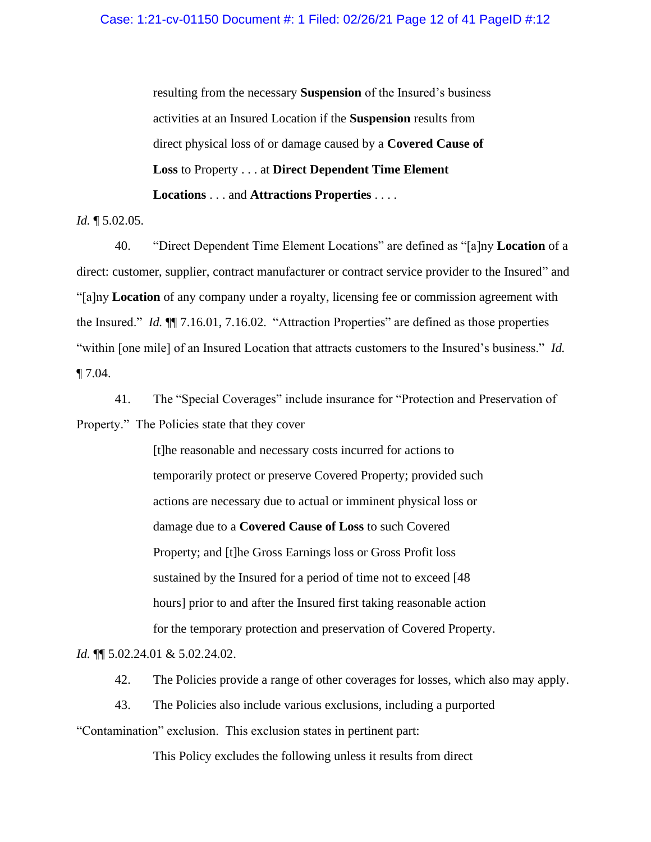resulting from the necessary **Suspension** of the Insured's business activities at an Insured Location if the **Suspension** results from direct physical loss of or damage caused by a **Covered Cause of Loss** to Property . . . at **Direct Dependent Time Element Locations** . . . and **Attractions Properties** . . . .

*Id.* ¶ 5.02.05.

40. "Direct Dependent Time Element Locations" are defined as "[a]ny **Location** of a direct: customer, supplier, contract manufacturer or contract service provider to the Insured" and "[a]ny **Location** of any company under a royalty, licensing fee or commission agreement with the Insured." *Id.* ¶¶ 7.16.01, 7.16.02. "Attraction Properties" are defined as those properties "within [one mile] of an Insured Location that attracts customers to the Insured's business." *Id.* ¶ 7.04.

41. The "Special Coverages" include insurance for "Protection and Preservation of Property." The Policies state that they cover

> [t]he reasonable and necessary costs incurred for actions to temporarily protect or preserve Covered Property; provided such actions are necessary due to actual or imminent physical loss or damage due to a **Covered Cause of Loss** to such Covered Property; and [t]he Gross Earnings loss or Gross Profit loss sustained by the Insured for a period of time not to exceed [48 hours] prior to and after the Insured first taking reasonable action for the temporary protection and preservation of Covered Property.

*Id.* ¶¶ 5.02.24.01 & 5.02.24.02.

42. The Policies provide a range of other coverages for losses, which also may apply.

43. The Policies also include various exclusions, including a purported "Contamination" exclusion. This exclusion states in pertinent part:

This Policy excludes the following unless it results from direct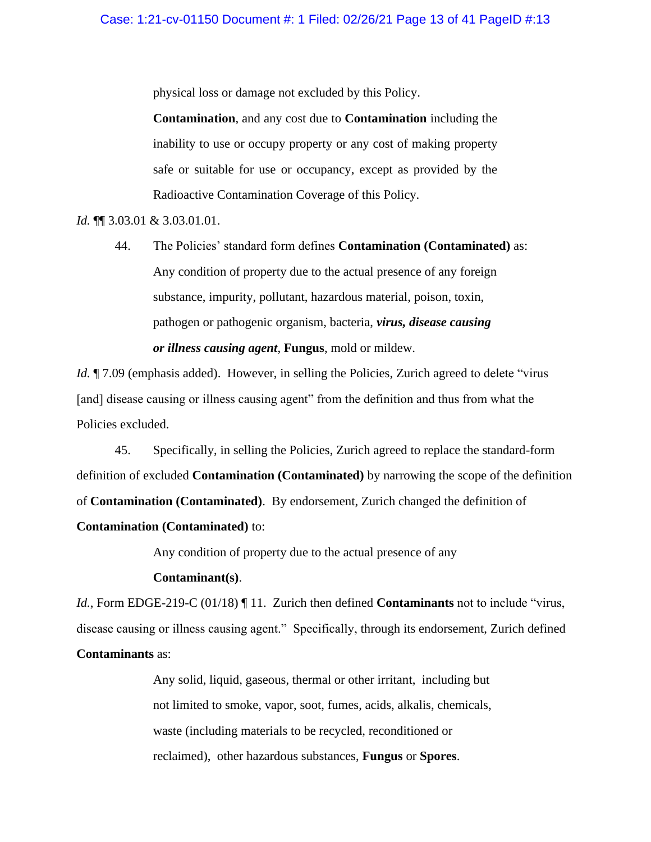physical loss or damage not excluded by this Policy.

**Contamination**, and any cost due to **Contamination** including the inability to use or occupy property or any cost of making property safe or suitable for use or occupancy, except as provided by the Radioactive Contamination Coverage of this Policy.

*Id.* ¶¶ 3.03.01 & 3.03.01.01.

44. The Policies' standard form defines **Contamination (Contaminated)** as: Any condition of property due to the actual presence of any foreign substance, impurity, pollutant, hazardous material, poison, toxin, pathogen or pathogenic organism, bacteria, *virus, disease causing or illness causing agent*, **Fungus**, mold or mildew.

*Id.*  $\sqrt{7.09}$  (emphasis added). However, in selling the Policies, Zurich agreed to delete "virus" [and] disease causing or illness causing agent" from the definition and thus from what the Policies excluded.

45. Specifically, in selling the Policies, Zurich agreed to replace the standard-form definition of excluded **Contamination (Contaminated)** by narrowing the scope of the definition of **Contamination (Contaminated)**. By endorsement, Zurich changed the definition of **Contamination (Contaminated)** to:

Any condition of property due to the actual presence of any

# **Contaminant(s)**.

*Id.*, Form EDGE-219-C (01/18) ¶ 11. Zurich then defined **Contaminants** not to include "virus, disease causing or illness causing agent." Specifically, through its endorsement, Zurich defined **Contaminants** as:

> Any solid, liquid, gaseous, thermal or other irritant, including but not limited to smoke, vapor, soot, fumes, acids, alkalis, chemicals, waste (including materials to be recycled, reconditioned or reclaimed), other hazardous substances, **Fungus** or **Spores**.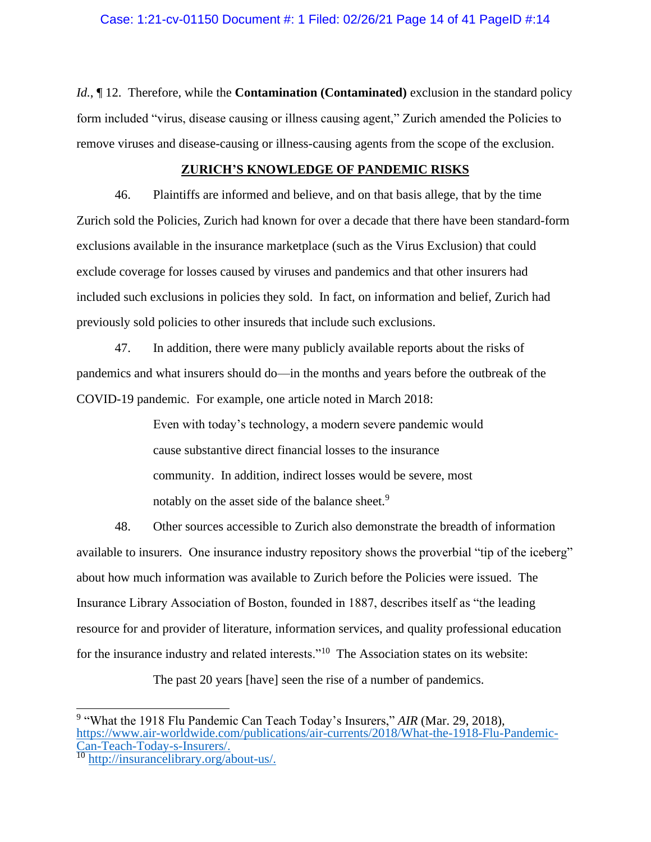*Id.*, ¶ 12. Therefore, while the **Contamination (Contaminated)** exclusion in the standard policy form included "virus, disease causing or illness causing agent," Zurich amended the Policies to remove viruses and disease-causing or illness-causing agents from the scope of the exclusion.

# **ZURICH'S KNOWLEDGE OF PANDEMIC RISKS**

46. Plaintiffs are informed and believe, and on that basis allege, that by the time Zurich sold the Policies, Zurich had known for over a decade that there have been standard-form exclusions available in the insurance marketplace (such as the Virus Exclusion) that could exclude coverage for losses caused by viruses and pandemics and that other insurers had included such exclusions in policies they sold. In fact, on information and belief, Zurich had previously sold policies to other insureds that include such exclusions.

47. In addition, there were many publicly available reports about the risks of pandemics and what insurers should do—in the months and years before the outbreak of the COVID-19 pandemic. For example, one article noted in March 2018:

> Even with today's technology, a modern severe pandemic would cause substantive direct financial losses to the insurance community. In addition, indirect losses would be severe, most notably on the asset side of the balance sheet.<sup>9</sup>

48. Other sources accessible to Zurich also demonstrate the breadth of information available to insurers. One insurance industry repository shows the proverbial "tip of the iceberg" about how much information was available to Zurich before the Policies were issued. The Insurance Library Association of Boston, founded in 1887, describes itself as "the leading resource for and provider of literature, information services, and quality professional education for the insurance industry and related interests."<sup>10</sup> The Association states on its website:

The past 20 years [have] seen the rise of a number of pandemics.

<sup>9</sup> "What the 1918 Flu Pandemic Can Teach Today's Insurers," *AIR* (Mar. 29, 2018), [https://www.air-worldwide.com/publications/air-currents/2018/What-the-1918-Flu-Pandemic-](https://www.air-worldwide.com/publications/air-currents/2018/What-the-1918-Flu-Pandemic-Can-Teach-Today-s-Insurers/)[Can-Teach-Today-s-Insurers/.](https://www.air-worldwide.com/publications/air-currents/2018/What-the-1918-Flu-Pandemic-Can-Teach-Today-s-Insurers/)

<sup>&</sup>lt;sup>10</sup> [http://insurancelibrary.org/about-us/.](http://insurancelibrary.org/about-us/)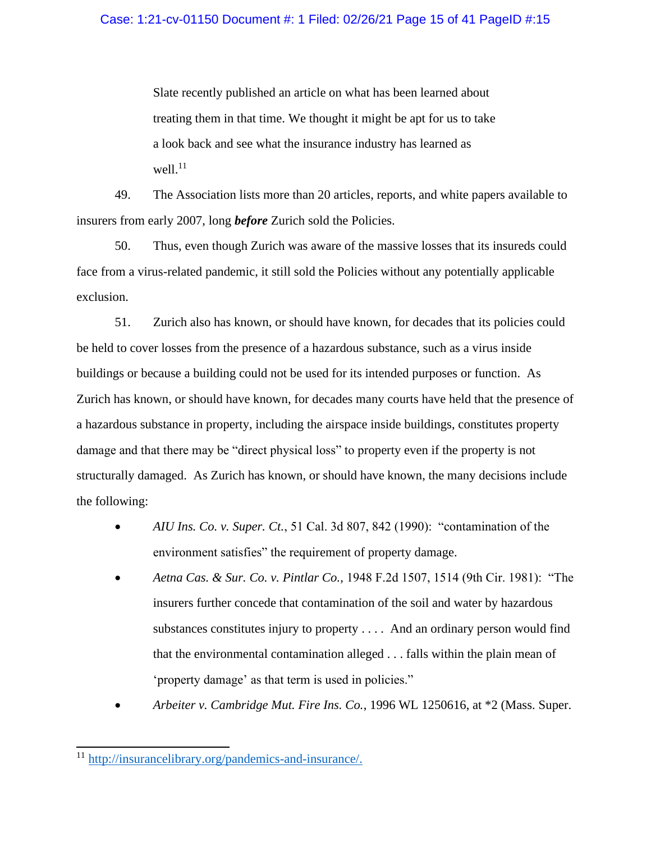Slate recently published an article on what has been learned about treating them in that time. We thought it might be apt for us to take a look back and see what the insurance industry has learned as  $well.<sup>11</sup>$ 

49. The Association lists more than 20 articles, reports, and white papers available to insurers from early 2007, long *before* Zurich sold the Policies.

50. Thus, even though Zurich was aware of the massive losses that its insureds could face from a virus-related pandemic, it still sold the Policies without any potentially applicable exclusion.

51. Zurich also has known, or should have known, for decades that its policies could be held to cover losses from the presence of a hazardous substance, such as a virus inside buildings or because a building could not be used for its intended purposes or function. As Zurich has known, or should have known, for decades many courts have held that the presence of a hazardous substance in property, including the airspace inside buildings, constitutes property damage and that there may be "direct physical loss" to property even if the property is not structurally damaged. As Zurich has known, or should have known, the many decisions include the following:

- *AIU Ins. Co. v. Super. Ct.*, 51 Cal. 3d 807, 842 (1990): "contamination of the environment satisfies" the requirement of property damage.
- *Aetna Cas. & Sur. Co. v. Pintlar Co.,* 1948 F.2d 1507, 1514 (9th Cir. 1981): "The insurers further concede that contamination of the soil and water by hazardous substances constitutes injury to property . . . . And an ordinary person would find that the environmental contamination alleged . . . falls within the plain mean of 'property damage' as that term is used in policies."
- *Arbeiter v. Cambridge Mut. Fire Ins. Co.*, 1996 WL 1250616, at \*2 (Mass. Super.

<sup>11</sup> [http://insurancelibrary.org/pandemics-and-insurance/.](http://insurancelibrary.org/pandemics-and-insurance/)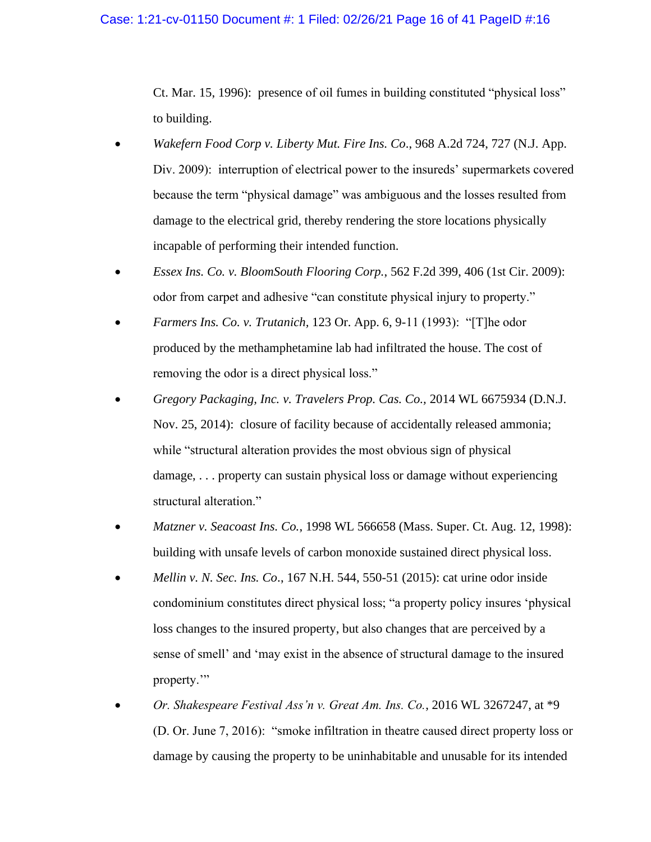#### Case: 1:21-cv-01150 Document #: 1 Filed: 02/26/21 Page 16 of 41 PageID #:16

Ct. Mar. 15, 1996): presence of oil fumes in building constituted "physical loss" to building.

- *Wakefern Food Corp v. Liberty Mut. Fire Ins. Co*., 968 A.2d 724, 727 (N.J. App. Div. 2009): interruption of electrical power to the insureds' supermarkets covered because the term "physical damage" was ambiguous and the losses resulted from damage to the electrical grid, thereby rendering the store locations physically incapable of performing their intended function.
- *Essex Ins. Co. v. BloomSouth Flooring Corp.*, 562 F.2d 399, 406 (1st Cir. 2009): odor from carpet and adhesive "can constitute physical injury to property."
- *Farmers Ins. Co. v. Trutanich,* 123 Or. App. 6, 9-11 (1993): "[T]he odor produced by the methamphetamine lab had infiltrated the house. The cost of removing the odor is a direct physical loss."
- *Gregory Packaging, Inc. v. Travelers Prop. Cas. Co.,* 2014 WL 6675934 (D.N.J. Nov. 25, 2014): closure of facility because of accidentally released ammonia; while "structural alteration provides the most obvious sign of physical damage, . . . property can sustain physical loss or damage without experiencing structural alteration."
- *Matzner v. Seacoast Ins. Co.*, 1998 WL 566658 (Mass. Super. Ct. Aug. 12, 1998): building with unsafe levels of carbon monoxide sustained direct physical loss.
- *Mellin v. N. Sec. Ins. Co*., 167 N.H. 544, 550-51 (2015): cat urine odor inside condominium constitutes direct physical loss; "a property policy insures 'physical loss changes to the insured property, but also changes that are perceived by a sense of smell' and 'may exist in the absence of structural damage to the insured property.'"
- *Or. Shakespeare Festival Ass'n v. Great Am. Ins. Co.*, 2016 WL 3267247, at \*9 (D. Or. June 7, 2016): "smoke infiltration in theatre caused direct property loss or damage by causing the property to be uninhabitable and unusable for its intended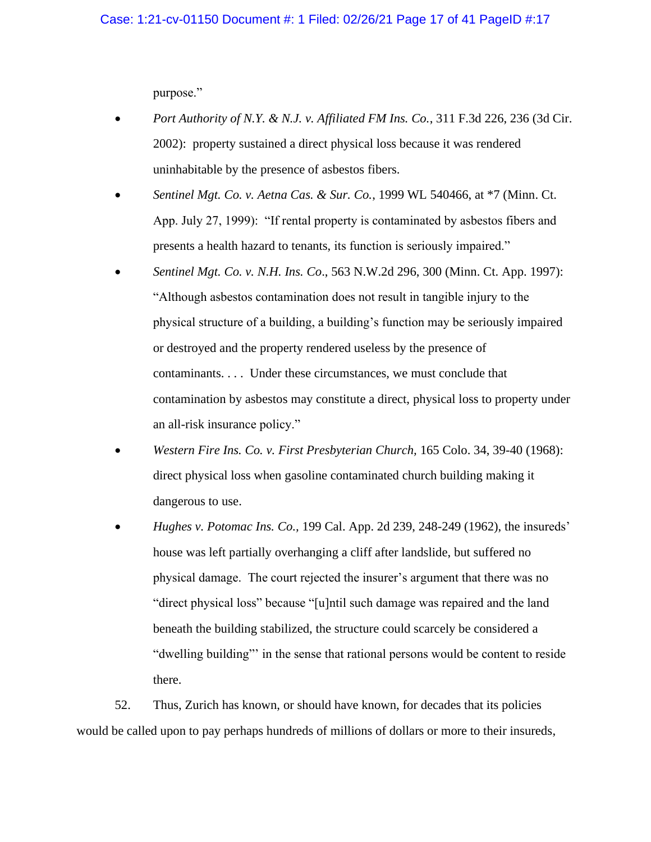purpose."

- *Port Authority of N.Y. & N.J. v. Affiliated FM Ins. Co.*, 311 F.3d 226, 236 (3d Cir. 2002): property sustained a direct physical loss because it was rendered uninhabitable by the presence of asbestos fibers.
- *Sentinel Mgt. Co. v. Aetna Cas. & Sur. Co.*, 1999 WL 540466, at \*7 (Minn. Ct. App. July 27, 1999): "If rental property is contaminated by asbestos fibers and presents a health hazard to tenants, its function is seriously impaired."
- *Sentinel Mgt. Co. v. N.H. Ins. Co*., 563 N.W.2d 296, 300 (Minn. Ct. App. 1997): "Although asbestos contamination does not result in tangible injury to the physical structure of a building, a building's function may be seriously impaired or destroyed and the property rendered useless by the presence of contaminants. . . . Under these circumstances, we must conclude that contamination by asbestos may constitute a direct, physical loss to property under an all-risk insurance policy."
- *Western Fire Ins. Co. v. First Presbyterian Church,* 165 Colo. 34, 39-40 (1968): direct physical loss when gasoline contaminated church building making it dangerous to use.
- *Hughes v. Potomac Ins. Co.,* 199 Cal. App. 2d 239, 248-249 (1962), the insureds' house was left partially overhanging a cliff after landslide, but suffered no physical damage. The court rejected the insurer's argument that there was no "direct physical loss" because "[u]ntil such damage was repaired and the land beneath the building stabilized, the structure could scarcely be considered a "dwelling building"' in the sense that rational persons would be content to reside there.

52. Thus, Zurich has known, or should have known, for decades that its policies would be called upon to pay perhaps hundreds of millions of dollars or more to their insureds,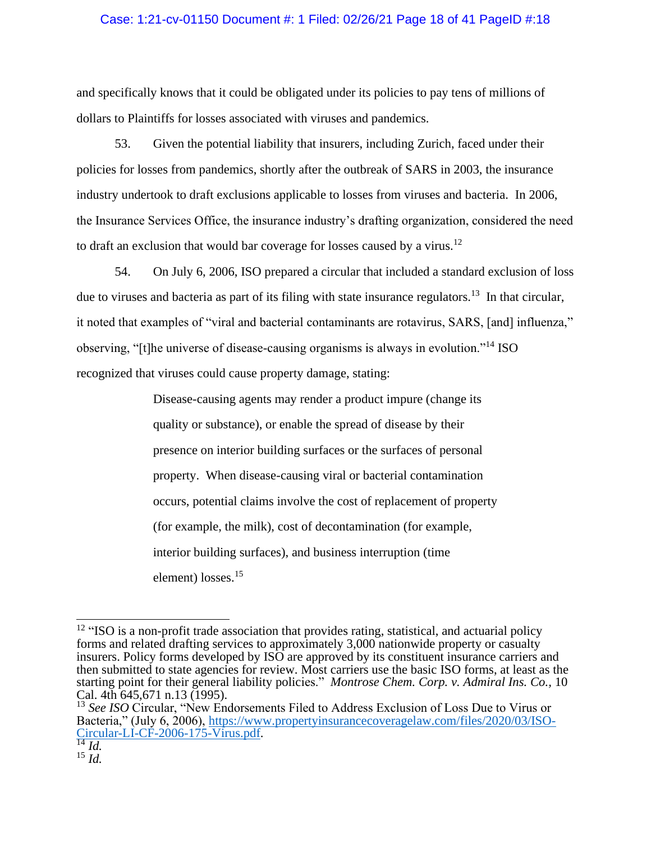# Case: 1:21-cv-01150 Document #: 1 Filed: 02/26/21 Page 18 of 41 PageID #:18

and specifically knows that it could be obligated under its policies to pay tens of millions of dollars to Plaintiffs for losses associated with viruses and pandemics.

53. Given the potential liability that insurers, including Zurich, faced under their policies for losses from pandemics, shortly after the outbreak of SARS in 2003, the insurance industry undertook to draft exclusions applicable to losses from viruses and bacteria. In 2006, the Insurance Services Office, the insurance industry's drafting organization, considered the need to draft an exclusion that would bar coverage for losses caused by a virus.<sup>12</sup>

54. On July 6, 2006, ISO prepared a circular that included a standard exclusion of loss due to viruses and bacteria as part of its filing with state insurance regulators.<sup>13</sup> In that circular, it noted that examples of "viral and bacterial contaminants are rotavirus, SARS, [and] influenza," observing, "[t]he universe of disease-causing organisms is always in evolution."<sup>14</sup> ISO recognized that viruses could cause property damage, stating:

> Disease-causing agents may render a product impure (change its quality or substance), or enable the spread of disease by their presence on interior building surfaces or the surfaces of personal property. When disease-causing viral or bacterial contamination occurs, potential claims involve the cost of replacement of property (for example, the milk), cost of decontamination (for example, interior building surfaces), and business interruption (time element) losses.<sup>15</sup>

<sup>&</sup>lt;sup>12</sup> "ISO is a non-profit trade association that provides rating, statistical, and actuarial policy forms and related drafting services to approximately 3,000 nationwide property or casualty insurers. Policy forms developed by ISO are approved by its constituent insurance carriers and then submitted to state agencies for review. Most carriers use the basic ISO forms, at least as the starting point for their general liability policies." *Montrose Chem. Corp. v. Admiral Ins. Co.,* 10 Cal. 4th 645,671 n.13 (1995).

<sup>&</sup>lt;sup>13</sup> See ISO Circular, "New Endorsements Filed to Address Exclusion of Loss Due to Virus or Bacteria," (July 6, 2006), [https://www.propertyinsurancecoveragelaw.com/files/2020/03/ISO-](https://www.propertyinsurancecoveragelaw.com/files/2020/03/ISO-Circular-LI-CF-2006-175-Virus.pdf)[Circular-LI-CF-2006-175-Virus.pdf.](https://www.propertyinsurancecoveragelaw.com/files/2020/03/ISO-Circular-LI-CF-2006-175-Virus.pdf)

 $\overline{^{14}$  *Id.*  $^{15}$   $\frac{1}{4}$ .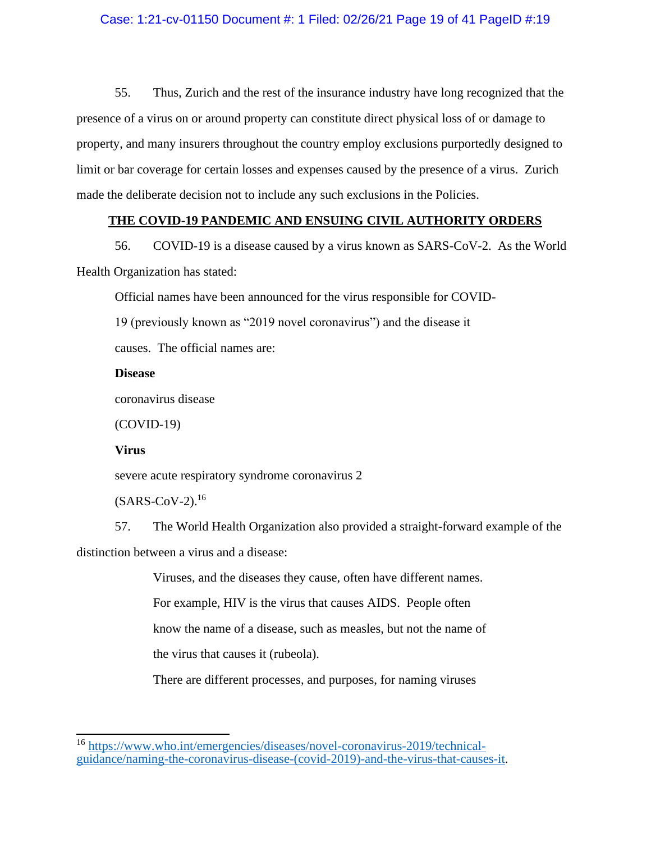# Case: 1:21-cv-01150 Document #: 1 Filed: 02/26/21 Page 19 of 41 PageID #:19

55. Thus, Zurich and the rest of the insurance industry have long recognized that the presence of a virus on or around property can constitute direct physical loss of or damage to property, and many insurers throughout the country employ exclusions purportedly designed to limit or bar coverage for certain losses and expenses caused by the presence of a virus. Zurich made the deliberate decision not to include any such exclusions in the Policies.

# **THE COVID-19 PANDEMIC AND ENSUING CIVIL AUTHORITY ORDERS**

56. COVID-19 is a disease caused by a virus known as SARS-CoV-2. As the World Health Organization has stated:

Official names have been announced for the virus responsible for COVID-

19 (previously known as "2019 novel coronavirus") and the disease it

causes. The official names are:

# **Disease**

coronavirus disease

(COVID-19)

## **Virus**

severe acute respiratory syndrome coronavirus 2

 $(SARS-CoV-2).<sup>16</sup>$ 

57. The World Health Organization also provided a straight-forward example of the distinction between a virus and a disease:

Viruses, and the diseases they cause, often have different names.

For example, HIV is the virus that causes AIDS. People often

know the name of a disease, such as measles, but not the name of

the virus that causes it (rubeola).

There are different processes, and purposes, for naming viruses

<sup>16</sup> [https://www.who.int/emergencies/diseases/novel-coronavirus-2019/technical](https://www.who.int/emergencies/diseases/novel-coronavirus-2019/technical-guidance/naming-the-coronavirus-disease-(covid-2019)-and-the-virus-that-causes-it)[guidance/naming-the-coronavirus-disease-\(covid-2019\)-and-the-virus-that-causes-it.](https://www.who.int/emergencies/diseases/novel-coronavirus-2019/technical-guidance/naming-the-coronavirus-disease-(covid-2019)-and-the-virus-that-causes-it)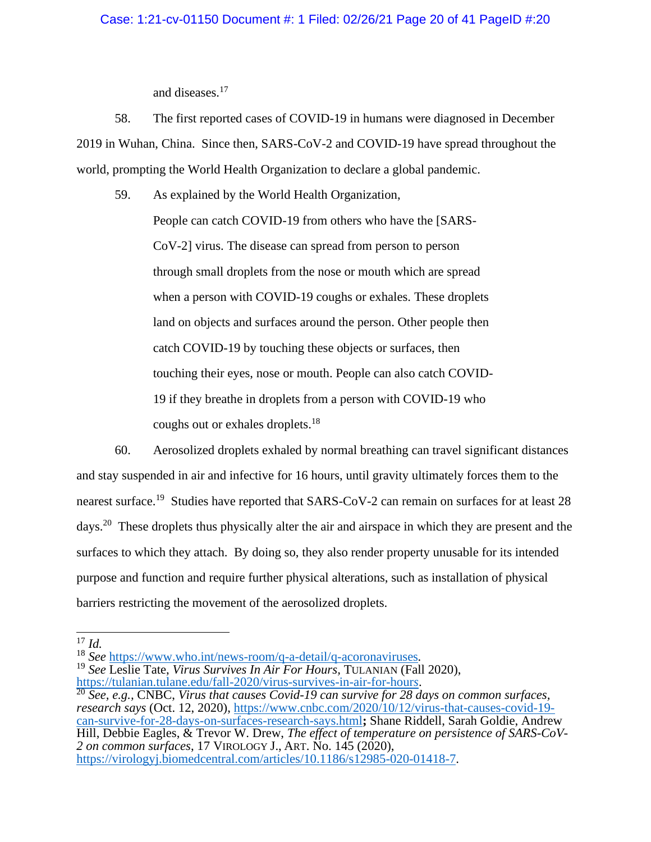# Case: 1:21-cv-01150 Document #: 1 Filed: 02/26/21 Page 20 of 41 PageID #:20

and diseases.<sup>17</sup>

58. The first reported cases of COVID-19 in humans were diagnosed in December 2019 in Wuhan, China. Since then, SARS-CoV-2 and COVID-19 have spread throughout the world, prompting the World Health Organization to declare a global pandemic.

59. As explained by the World Health Organization, People can catch COVID-19 from others who have the [SARS-CoV-2] virus. The disease can spread from person to person through small droplets from the nose or mouth which are spread when a person with COVID-19 coughs or exhales. These droplets land on objects and surfaces around the person. Other people then catch COVID-19 by touching these objects or surfaces, then touching their eyes, nose or mouth. People can also catch COVID-19 if they breathe in droplets from a person with COVID-19 who coughs out or exhales droplets.<sup>18</sup>

60. Aerosolized droplets exhaled by normal breathing can travel significant distances and stay suspended in air and infective for 16 hours, until gravity ultimately forces them to the nearest surface.<sup>19</sup> Studies have reported that SARS-CoV-2 can remain on surfaces for at least 28 days.<sup>20</sup> These droplets thus physically alter the air and airspace in which they are present and the surfaces to which they attach. By doing so, they also render property unusable for its intended purpose and function and require further physical alterations, such as installation of physical barriers restricting the movement of the aerosolized droplets.

<sup>18</sup> *See* <https://www.who.int/news-room/q-a-detail/q-acoronaviruses>*.*

<sup>19</sup> *See* Leslie Tate, *Virus Survives In Air For Hours,* TULANIAN (Fall 2020), [https://tulanian.tulane.edu/fall-2020/virus-survives-in-air-for-hour](https://tulanian.tulane.edu/fall-2020/virus-survives-in-air-for-hours)*s*.

<sup>20</sup> *See, e.g.,* CNBC, *Virus that causes Covid-19 can survive for 28 days on common surfaces, research says* (Oct. 12, 2020), [https://www.cnbc.com/2020/10/12/virus-that-causes-covid-19](https://www.cnbc.com/2020/10/12/virus-that-causes-covid-19-can-survive-for-28-days-on-surfaces-research-says.html) [can-survive-for-28-days-on-surfaces-research-says.html](https://www.cnbc.com/2020/10/12/virus-that-causes-covid-19-can-survive-for-28-days-on-surfaces-research-says.html)**;** Shane Riddell, Sarah Goldie, Andrew Hill, Debbie Eagles, & Trevor W. Drew, *The effect of temperature on persistence of SARS-CoV-2 on common surfaces*, 17 VIROLOGY J., ART. No. 145 (2020), [https://virologyj.biomedcentral.com/articles/10.1186/s12985-020-01418-7.](https://virologyj.biomedcentral.com/articles/10.1186/s12985-020-01418-7)

 $^{17}$  *Id.*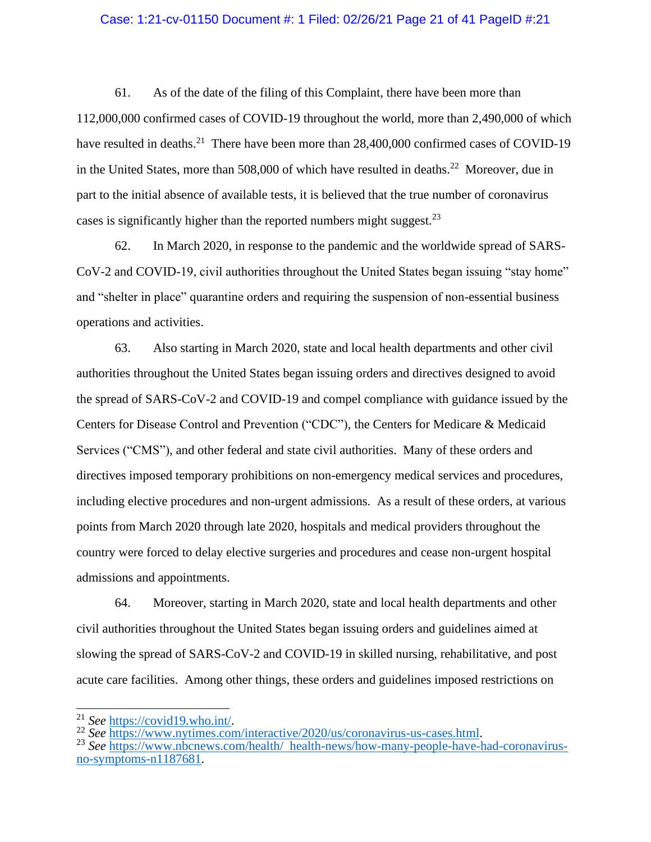# Case: 1:21-cv-01150 Document #: 1 Filed: 02/26/21 Page 21 of 41 PageID #:21

61. As of the date of the filing of this Complaint, there have been more than 112,000,000 confirmed cases of COVID-19 throughout the world, more than 2,490,000 of which have resulted in deaths.<sup>21</sup> There have been more than 28,400,000 confirmed cases of COVID-19 in the United States, more than  $508,000$  of which have resulted in deaths.<sup>22</sup> Moreover, due in part to the initial absence of available tests, it is believed that the true number of coronavirus cases is significantly higher than the reported numbers might suggest. $^{23}$ 

62. In March 2020, in response to the pandemic and the worldwide spread of SARS-CoV-2 and COVID-19, civil authorities throughout the United States began issuing "stay home" and "shelter in place" quarantine orders and requiring the suspension of non-essential business operations and activities.

63. Also starting in March 2020, state and local health departments and other civil authorities throughout the United States began issuing orders and directives designed to avoid the spread of SARS-CoV-2 and COVID-19 and compel compliance with guidance issued by the Centers for Disease Control and Prevention ("CDC"), the Centers for Medicare & Medicaid Services ("CMS"), and other federal and state civil authorities. Many of these orders and directives imposed temporary prohibitions on non-emergency medical services and procedures, including elective procedures and non-urgent admissions. As a result of these orders, at various points from March 2020 through late 2020, hospitals and medical providers throughout the country were forced to delay elective surgeries and procedures and cease non-urgent hospital admissions and appointments.

64. Moreover, starting in March 2020, state and local health departments and other civil authorities throughout the United States began issuing orders and guidelines aimed at slowing the spread of SARS-CoV-2 and COVID-19 in skilled nursing, rehabilitative, and post acute care facilities. Among other things, these orders and guidelines imposed restrictions on

<sup>21</sup> *See* [https://covid19.who.int/.](https://covid19.who.int/)

<sup>22</sup> *See* [https://www.nytimes.com/interactive/2020/us/coronavirus-us-cases.html.](https://www.nytimes.com/interactive/2020/us/coronavirus-us-cases.html)

<sup>&</sup>lt;sup>23</sup> See [https://www.nbcnews.com/health/ health-news/how-many-people-have-had-coronavirus](https://www.nbcnews.com/health/%20%20health-news/how-many-people-have-had-coronavirus-no-symptoms-n1187681)[no-symptoms-n1187681.](https://www.nbcnews.com/health/%20%20health-news/how-many-people-have-had-coronavirus-no-symptoms-n1187681)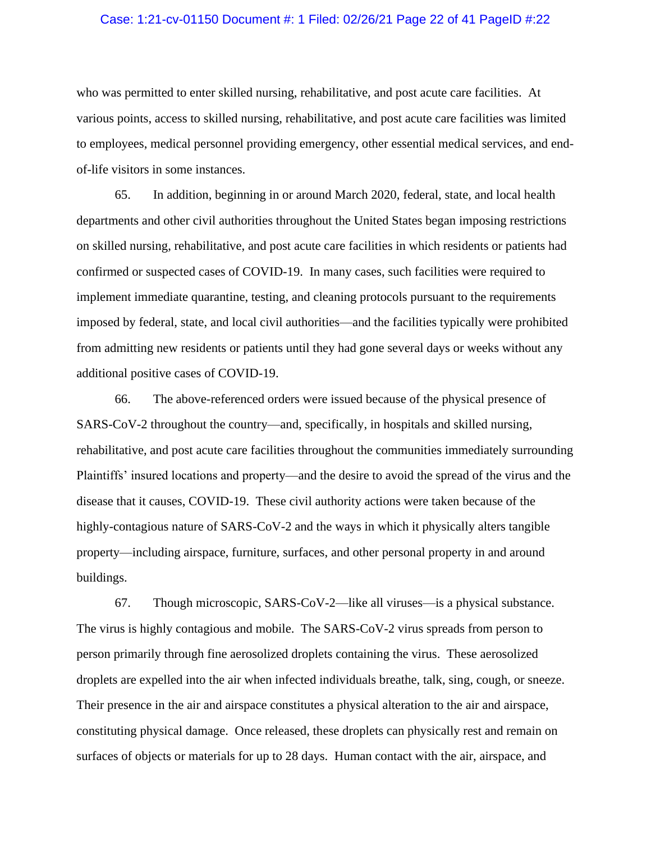## Case: 1:21-cv-01150 Document #: 1 Filed: 02/26/21 Page 22 of 41 PageID #:22

who was permitted to enter skilled nursing, rehabilitative, and post acute care facilities. At various points, access to skilled nursing, rehabilitative, and post acute care facilities was limited to employees, medical personnel providing emergency, other essential medical services, and endof-life visitors in some instances.

65. In addition, beginning in or around March 2020, federal, state, and local health departments and other civil authorities throughout the United States began imposing restrictions on skilled nursing, rehabilitative, and post acute care facilities in which residents or patients had confirmed or suspected cases of COVID-19. In many cases, such facilities were required to implement immediate quarantine, testing, and cleaning protocols pursuant to the requirements imposed by federal, state, and local civil authorities—and the facilities typically were prohibited from admitting new residents or patients until they had gone several days or weeks without any additional positive cases of COVID-19.

66. The above-referenced orders were issued because of the physical presence of SARS-CoV-2 throughout the country—and, specifically, in hospitals and skilled nursing, rehabilitative, and post acute care facilities throughout the communities immediately surrounding Plaintiffs' insured locations and property—and the desire to avoid the spread of the virus and the disease that it causes, COVID-19. These civil authority actions were taken because of the highly-contagious nature of SARS-CoV-2 and the ways in which it physically alters tangible property—including airspace, furniture, surfaces, and other personal property in and around buildings.

67. Though microscopic, SARS-CoV-2—like all viruses—is a physical substance. The virus is highly contagious and mobile. The SARS-CoV-2 virus spreads from person to person primarily through fine aerosolized droplets containing the virus. These aerosolized droplets are expelled into the air when infected individuals breathe, talk, sing, cough, or sneeze. Their presence in the air and airspace constitutes a physical alteration to the air and airspace, constituting physical damage. Once released, these droplets can physically rest and remain on surfaces of objects or materials for up to 28 days. Human contact with the air, airspace, and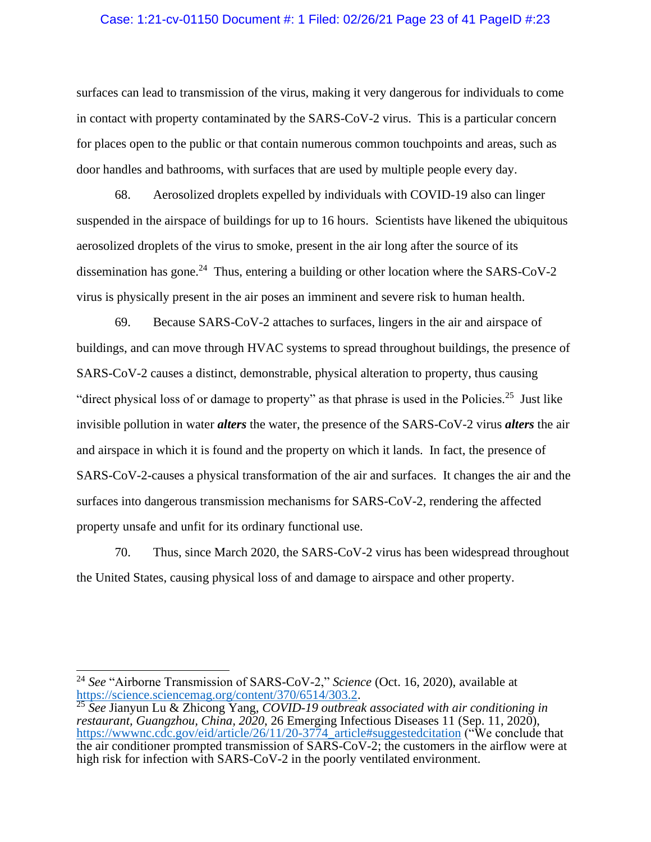# Case: 1:21-cv-01150 Document #: 1 Filed: 02/26/21 Page 23 of 41 PageID #:23

surfaces can lead to transmission of the virus, making it very dangerous for individuals to come in contact with property contaminated by the SARS-CoV-2 virus. This is a particular concern for places open to the public or that contain numerous common touchpoints and areas, such as door handles and bathrooms, with surfaces that are used by multiple people every day.

68. Aerosolized droplets expelled by individuals with COVID-19 also can linger suspended in the airspace of buildings for up to 16 hours. Scientists have likened the ubiquitous aerosolized droplets of the virus to smoke, present in the air long after the source of its dissemination has gone.<sup>24</sup> Thus, entering a building or other location where the SARS-CoV-2 virus is physically present in the air poses an imminent and severe risk to human health.

69. Because SARS-CoV-2 attaches to surfaces, lingers in the air and airspace of buildings, and can move through HVAC systems to spread throughout buildings, the presence of SARS-CoV-2 causes a distinct, demonstrable, physical alteration to property, thus causing "direct physical loss of or damage to property" as that phrase is used in the Policies.<sup>25</sup> Just like invisible pollution in water *alters* the water, the presence of the SARS-CoV-2 virus *alters* the air and airspace in which it is found and the property on which it lands. In fact, the presence of SARS-CoV-2-causes a physical transformation of the air and surfaces. It changes the air and the surfaces into dangerous transmission mechanisms for SARS-CoV-2, rendering the affected property unsafe and unfit for its ordinary functional use.

70. Thus, since March 2020, the SARS-CoV-2 virus has been widespread throughout the United States, causing physical loss of and damage to airspace and other property.

<sup>24</sup> *See* "Airborne Transmission of SARS-CoV-2," *Science* (Oct. 16, 2020), available at [https://science.sciencemag.org/content/370/6514/303.2.](https://science.sciencemag.org/content/370/6514/303.2)

<sup>25</sup> *See* Jianyun Lu & Zhicong Yang, *COVID-19 outbreak associated with air conditioning in restaurant, Guangzhou, China, 2020*, 26 Emerging Infectious Diseases 11 (Sep. 11, 2020), [https://wwwnc.cdc.gov/eid/article/26/11/20-3774\\_article#suggestedcitation](https://wwwnc.cdc.gov/eid/article/26/11/20-3774_article%23suggestedcitation) ("We conclude that the air conditioner prompted transmission of SARS-CoV-2; the customers in the airflow were at high risk for infection with SARS-CoV-2 in the poorly ventilated environment.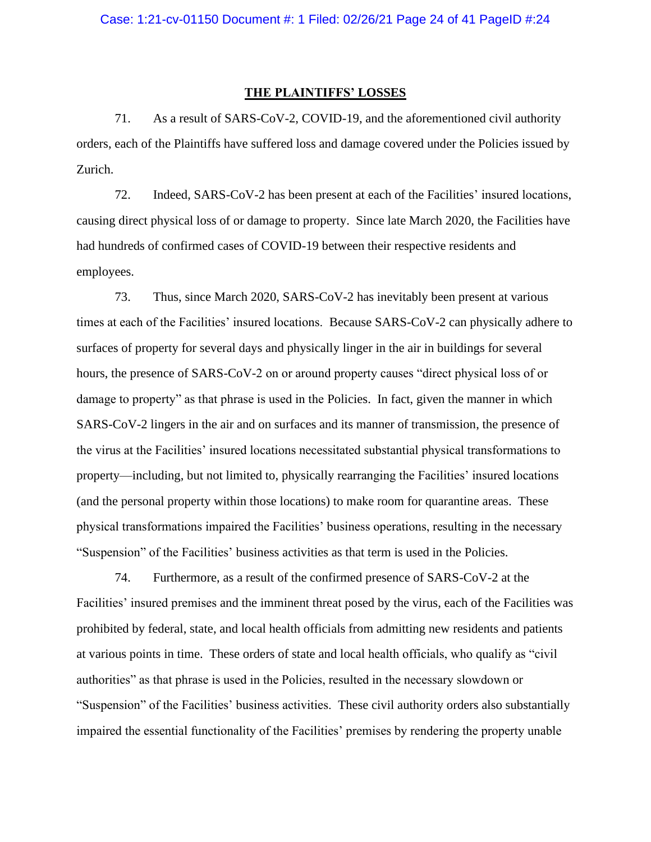#### **THE PLAINTIFFS' LOSSES**

71. As a result of SARS-CoV-2, COVID-19, and the aforementioned civil authority orders, each of the Plaintiffs have suffered loss and damage covered under the Policies issued by Zurich.

72. Indeed, SARS-CoV-2 has been present at each of the Facilities' insured locations, causing direct physical loss of or damage to property. Since late March 2020, the Facilities have had hundreds of confirmed cases of COVID-19 between their respective residents and employees.

73. Thus, since March 2020, SARS-CoV-2 has inevitably been present at various times at each of the Facilities' insured locations. Because SARS-CoV-2 can physically adhere to surfaces of property for several days and physically linger in the air in buildings for several hours, the presence of SARS-CoV-2 on or around property causes "direct physical loss of or damage to property" as that phrase is used in the Policies. In fact, given the manner in which SARS-CoV-2 lingers in the air and on surfaces and its manner of transmission, the presence of the virus at the Facilities' insured locations necessitated substantial physical transformations to property—including, but not limited to, physically rearranging the Facilities' insured locations (and the personal property within those locations) to make room for quarantine areas. These physical transformations impaired the Facilities' business operations, resulting in the necessary "Suspension" of the Facilities' business activities as that term is used in the Policies.

74. Furthermore, as a result of the confirmed presence of SARS-CoV-2 at the Facilities' insured premises and the imminent threat posed by the virus, each of the Facilities was prohibited by federal, state, and local health officials from admitting new residents and patients at various points in time. These orders of state and local health officials, who qualify as "civil authorities" as that phrase is used in the Policies, resulted in the necessary slowdown or "Suspension" of the Facilities' business activities. These civil authority orders also substantially impaired the essential functionality of the Facilities' premises by rendering the property unable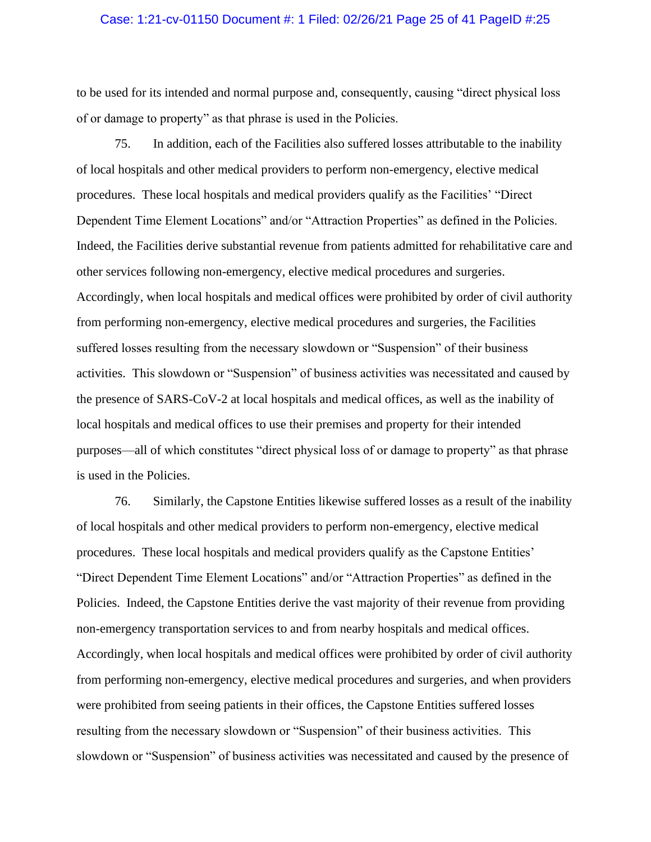## Case: 1:21-cv-01150 Document #: 1 Filed: 02/26/21 Page 25 of 41 PageID #:25

to be used for its intended and normal purpose and, consequently, causing "direct physical loss of or damage to property" as that phrase is used in the Policies.

75. In addition, each of the Facilities also suffered losses attributable to the inability of local hospitals and other medical providers to perform non-emergency, elective medical procedures. These local hospitals and medical providers qualify as the Facilities' "Direct Dependent Time Element Locations" and/or "Attraction Properties" as defined in the Policies. Indeed, the Facilities derive substantial revenue from patients admitted for rehabilitative care and other services following non-emergency, elective medical procedures and surgeries. Accordingly, when local hospitals and medical offices were prohibited by order of civil authority from performing non-emergency, elective medical procedures and surgeries, the Facilities suffered losses resulting from the necessary slowdown or "Suspension" of their business activities. This slowdown or "Suspension" of business activities was necessitated and caused by the presence of SARS-CoV-2 at local hospitals and medical offices, as well as the inability of local hospitals and medical offices to use their premises and property for their intended purposes—all of which constitutes "direct physical loss of or damage to property" as that phrase is used in the Policies.

76. Similarly, the Capstone Entities likewise suffered losses as a result of the inability of local hospitals and other medical providers to perform non-emergency, elective medical procedures. These local hospitals and medical providers qualify as the Capstone Entities' "Direct Dependent Time Element Locations" and/or "Attraction Properties" as defined in the Policies. Indeed, the Capstone Entities derive the vast majority of their revenue from providing non-emergency transportation services to and from nearby hospitals and medical offices. Accordingly, when local hospitals and medical offices were prohibited by order of civil authority from performing non-emergency, elective medical procedures and surgeries, and when providers were prohibited from seeing patients in their offices, the Capstone Entities suffered losses resulting from the necessary slowdown or "Suspension" of their business activities. This slowdown or "Suspension" of business activities was necessitated and caused by the presence of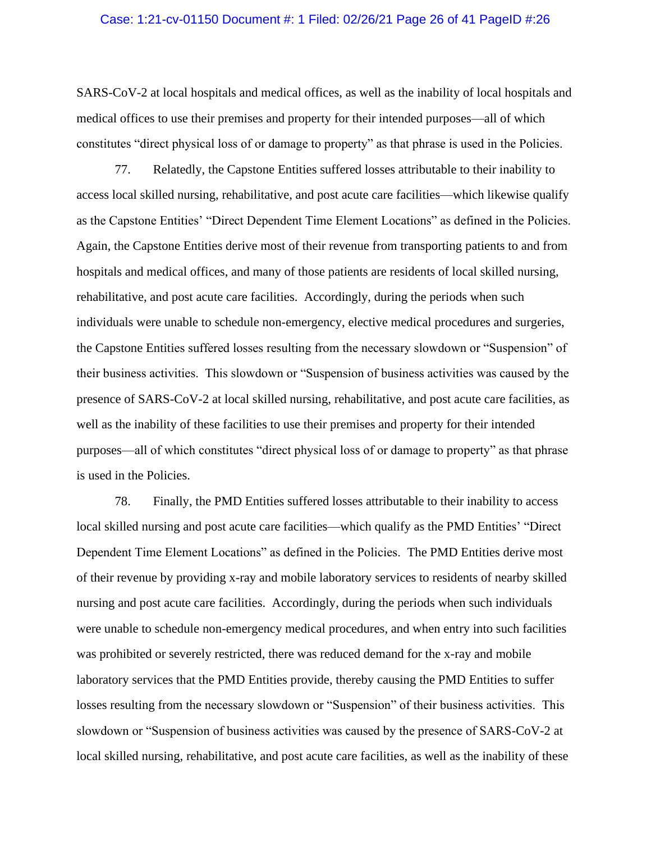## Case: 1:21-cv-01150 Document #: 1 Filed: 02/26/21 Page 26 of 41 PageID #:26

SARS-CoV-2 at local hospitals and medical offices, as well as the inability of local hospitals and medical offices to use their premises and property for their intended purposes—all of which constitutes "direct physical loss of or damage to property" as that phrase is used in the Policies.

77. Relatedly, the Capstone Entities suffered losses attributable to their inability to access local skilled nursing, rehabilitative, and post acute care facilities—which likewise qualify as the Capstone Entities' "Direct Dependent Time Element Locations" as defined in the Policies. Again, the Capstone Entities derive most of their revenue from transporting patients to and from hospitals and medical offices, and many of those patients are residents of local skilled nursing, rehabilitative, and post acute care facilities. Accordingly, during the periods when such individuals were unable to schedule non-emergency, elective medical procedures and surgeries, the Capstone Entities suffered losses resulting from the necessary slowdown or "Suspension" of their business activities. This slowdown or "Suspension of business activities was caused by the presence of SARS-CoV-2 at local skilled nursing, rehabilitative, and post acute care facilities, as well as the inability of these facilities to use their premises and property for their intended purposes—all of which constitutes "direct physical loss of or damage to property" as that phrase is used in the Policies.

78. Finally, the PMD Entities suffered losses attributable to their inability to access local skilled nursing and post acute care facilities—which qualify as the PMD Entities' "Direct Dependent Time Element Locations" as defined in the Policies. The PMD Entities derive most of their revenue by providing x-ray and mobile laboratory services to residents of nearby skilled nursing and post acute care facilities. Accordingly, during the periods when such individuals were unable to schedule non-emergency medical procedures, and when entry into such facilities was prohibited or severely restricted, there was reduced demand for the x-ray and mobile laboratory services that the PMD Entities provide, thereby causing the PMD Entities to suffer losses resulting from the necessary slowdown or "Suspension" of their business activities. This slowdown or "Suspension of business activities was caused by the presence of SARS-CoV-2 at local skilled nursing, rehabilitative, and post acute care facilities, as well as the inability of these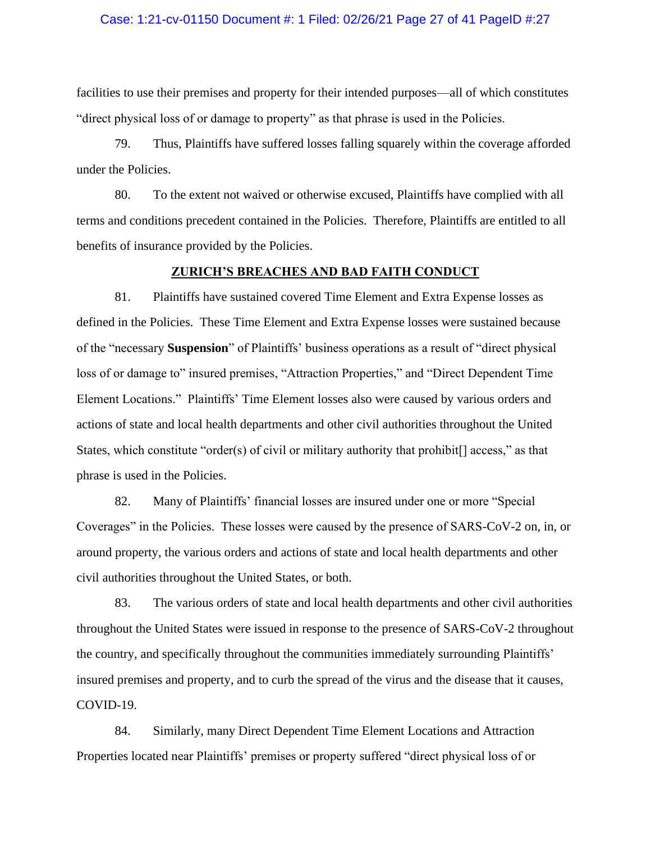## Case: 1:21-cv-01150 Document #: 1 Filed: 02/26/21 Page 27 of 41 PageID #:27

facilities to use their premises and property for their intended purposes—all of which constitutes "direct physical loss of or damage to property" as that phrase is used in the Policies.

79. Thus, Plaintiffs have suffered losses falling squarely within the coverage afforded under the Policies.

80. To the extent not waived or otherwise excused, Plaintiffs have complied with all terms and conditions precedent contained in the Policies. Therefore, Plaintiffs are entitled to all benefits of insurance provided by the Policies.

# **ZURICH'S BREACHES AND BAD FAITH CONDUCT**

81. Plaintiffs have sustained covered Time Element and Extra Expense losses as defined in the Policies. These Time Element and Extra Expense losses were sustained because of the "necessary **Suspension**" of Plaintiffs' business operations as a result of "direct physical loss of or damage to" insured premises, "Attraction Properties," and "Direct Dependent Time Element Locations." Plaintiffs' Time Element losses also were caused by various orders and actions of state and local health departments and other civil authorities throughout the United States, which constitute "order(s) of civil or military authority that prohibit[] access," as that phrase is used in the Policies.

82. Many of Plaintiffs' financial losses are insured under one or more "Special Coverages" in the Policies. These losses were caused by the presence of SARS-CoV-2 on, in, or around property, the various orders and actions of state and local health departments and other civil authorities throughout the United States, or both.

83. The various orders of state and local health departments and other civil authorities throughout the United States were issued in response to the presence of SARS-CoV-2 throughout the country, and specifically throughout the communities immediately surrounding Plaintiffs' insured premises and property, and to curb the spread of the virus and the disease that it causes, COVID-19.

84. Similarly, many Direct Dependent Time Element Locations and Attraction Properties located near Plaintiffs' premises or property suffered "direct physical loss of or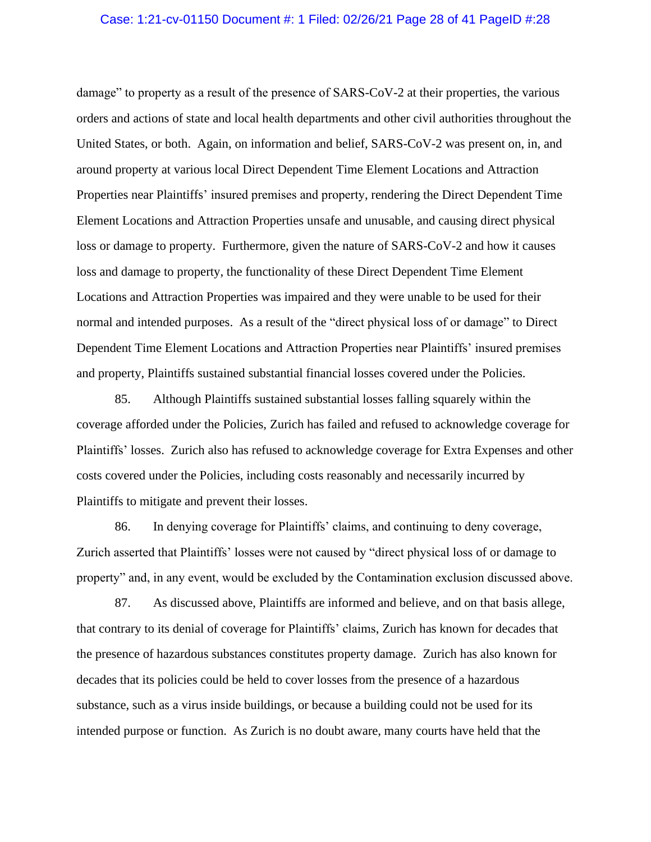#### Case: 1:21-cv-01150 Document #: 1 Filed: 02/26/21 Page 28 of 41 PageID #:28

damage" to property as a result of the presence of SARS-CoV-2 at their properties, the various orders and actions of state and local health departments and other civil authorities throughout the United States, or both. Again, on information and belief, SARS-CoV-2 was present on, in, and around property at various local Direct Dependent Time Element Locations and Attraction Properties near Plaintiffs' insured premises and property, rendering the Direct Dependent Time Element Locations and Attraction Properties unsafe and unusable, and causing direct physical loss or damage to property. Furthermore, given the nature of SARS-CoV-2 and how it causes loss and damage to property, the functionality of these Direct Dependent Time Element Locations and Attraction Properties was impaired and they were unable to be used for their normal and intended purposes. As a result of the "direct physical loss of or damage" to Direct Dependent Time Element Locations and Attraction Properties near Plaintiffs' insured premises and property, Plaintiffs sustained substantial financial losses covered under the Policies.

85. Although Plaintiffs sustained substantial losses falling squarely within the coverage afforded under the Policies, Zurich has failed and refused to acknowledge coverage for Plaintiffs' losses. Zurich also has refused to acknowledge coverage for Extra Expenses and other costs covered under the Policies, including costs reasonably and necessarily incurred by Plaintiffs to mitigate and prevent their losses.

86. In denying coverage for Plaintiffs' claims, and continuing to deny coverage, Zurich asserted that Plaintiffs' losses were not caused by "direct physical loss of or damage to property" and, in any event, would be excluded by the Contamination exclusion discussed above.

87. As discussed above, Plaintiffs are informed and believe, and on that basis allege, that contrary to its denial of coverage for Plaintiffs' claims, Zurich has known for decades that the presence of hazardous substances constitutes property damage. Zurich has also known for decades that its policies could be held to cover losses from the presence of a hazardous substance, such as a virus inside buildings, or because a building could not be used for its intended purpose or function. As Zurich is no doubt aware, many courts have held that the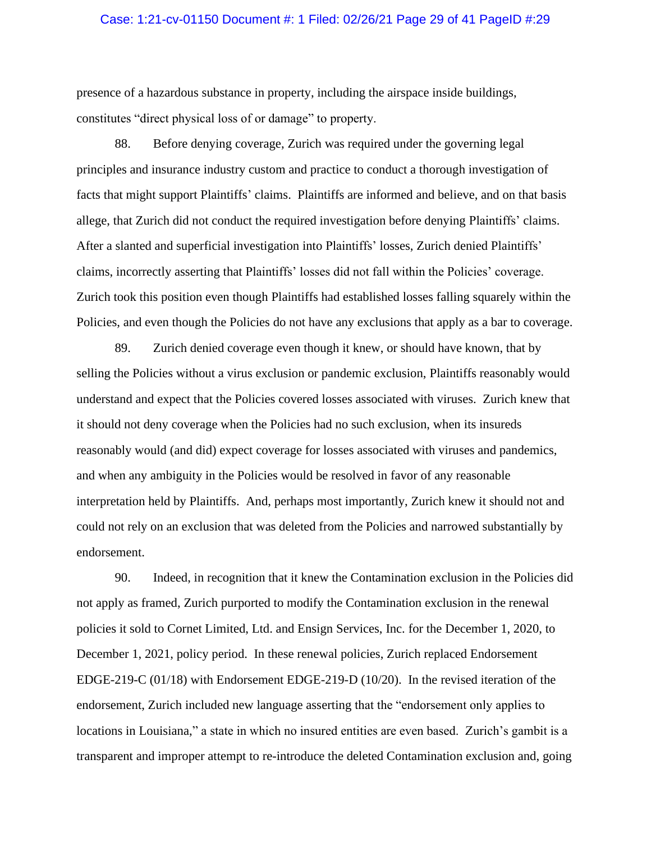## Case: 1:21-cv-01150 Document #: 1 Filed: 02/26/21 Page 29 of 41 PageID #:29

presence of a hazardous substance in property, including the airspace inside buildings, constitutes "direct physical loss of or damage" to property.

88. Before denying coverage, Zurich was required under the governing legal principles and insurance industry custom and practice to conduct a thorough investigation of facts that might support Plaintiffs' claims. Plaintiffs are informed and believe, and on that basis allege, that Zurich did not conduct the required investigation before denying Plaintiffs' claims. After a slanted and superficial investigation into Plaintiffs' losses, Zurich denied Plaintiffs' claims, incorrectly asserting that Plaintiffs' losses did not fall within the Policies' coverage. Zurich took this position even though Plaintiffs had established losses falling squarely within the Policies, and even though the Policies do not have any exclusions that apply as a bar to coverage.

89. Zurich denied coverage even though it knew, or should have known, that by selling the Policies without a virus exclusion or pandemic exclusion, Plaintiffs reasonably would understand and expect that the Policies covered losses associated with viruses. Zurich knew that it should not deny coverage when the Policies had no such exclusion, when its insureds reasonably would (and did) expect coverage for losses associated with viruses and pandemics, and when any ambiguity in the Policies would be resolved in favor of any reasonable interpretation held by Plaintiffs. And, perhaps most importantly, Zurich knew it should not and could not rely on an exclusion that was deleted from the Policies and narrowed substantially by endorsement.

90. Indeed, in recognition that it knew the Contamination exclusion in the Policies did not apply as framed, Zurich purported to modify the Contamination exclusion in the renewal policies it sold to Cornet Limited, Ltd. and Ensign Services, Inc. for the December 1, 2020, to December 1, 2021, policy period. In these renewal policies, Zurich replaced Endorsement EDGE-219-C (01/18) with Endorsement EDGE-219-D (10/20). In the revised iteration of the endorsement, Zurich included new language asserting that the "endorsement only applies to locations in Louisiana," a state in which no insured entities are even based. Zurich's gambit is a transparent and improper attempt to re-introduce the deleted Contamination exclusion and, going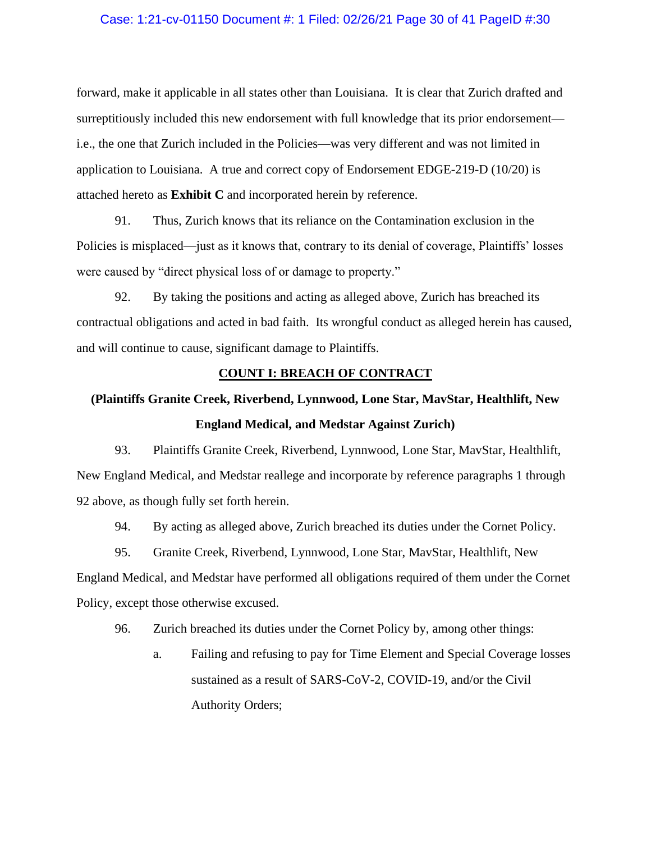# Case: 1:21-cv-01150 Document #: 1 Filed: 02/26/21 Page 30 of 41 PageID #:30

forward, make it applicable in all states other than Louisiana. It is clear that Zurich drafted and surreptitiously included this new endorsement with full knowledge that its prior endorsement i.e., the one that Zurich included in the Policies—was very different and was not limited in application to Louisiana. A true and correct copy of Endorsement EDGE-219-D (10/20) is attached hereto as **Exhibit C** and incorporated herein by reference.

91. Thus, Zurich knows that its reliance on the Contamination exclusion in the Policies is misplaced—just as it knows that, contrary to its denial of coverage, Plaintiffs' losses were caused by "direct physical loss of or damage to property."

92. By taking the positions and acting as alleged above, Zurich has breached its contractual obligations and acted in bad faith. Its wrongful conduct as alleged herein has caused, and will continue to cause, significant damage to Plaintiffs.

# **COUNT I: BREACH OF CONTRACT**

# **(Plaintiffs Granite Creek, Riverbend, Lynnwood, Lone Star, MavStar, Healthlift, New England Medical, and Medstar Against Zurich)**

93. Plaintiffs Granite Creek, Riverbend, Lynnwood, Lone Star, MavStar, Healthlift, New England Medical, and Medstar reallege and incorporate by reference paragraphs 1 through 92 above, as though fully set forth herein.

94. By acting as alleged above, Zurich breached its duties under the Cornet Policy.

95. Granite Creek, Riverbend, Lynnwood, Lone Star, MavStar, Healthlift, New

England Medical, and Medstar have performed all obligations required of them under the Cornet Policy, except those otherwise excused.

96. Zurich breached its duties under the Cornet Policy by, among other things:

a. Failing and refusing to pay for Time Element and Special Coverage losses sustained as a result of SARS-CoV-2, COVID-19, and/or the Civil Authority Orders;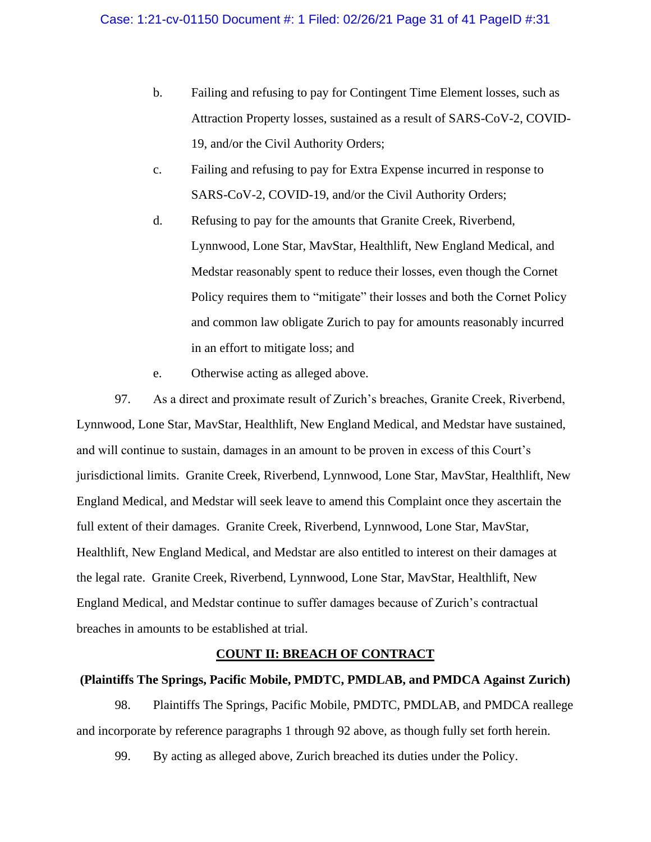- b. Failing and refusing to pay for Contingent Time Element losses, such as Attraction Property losses, sustained as a result of SARS-CoV-2, COVID-19, and/or the Civil Authority Orders;
- c. Failing and refusing to pay for Extra Expense incurred in response to SARS-CoV-2, COVID-19, and/or the Civil Authority Orders;
- d. Refusing to pay for the amounts that Granite Creek, Riverbend, Lynnwood, Lone Star, MavStar, Healthlift, New England Medical, and Medstar reasonably spent to reduce their losses, even though the Cornet Policy requires them to "mitigate" their losses and both the Cornet Policy and common law obligate Zurich to pay for amounts reasonably incurred in an effort to mitigate loss; and
- e. Otherwise acting as alleged above.

97. As a direct and proximate result of Zurich's breaches, Granite Creek, Riverbend, Lynnwood, Lone Star, MavStar, Healthlift, New England Medical, and Medstar have sustained, and will continue to sustain, damages in an amount to be proven in excess of this Court's jurisdictional limits. Granite Creek, Riverbend, Lynnwood, Lone Star, MavStar, Healthlift, New England Medical, and Medstar will seek leave to amend this Complaint once they ascertain the full extent of their damages. Granite Creek, Riverbend, Lynnwood, Lone Star, MavStar, Healthlift, New England Medical, and Medstar are also entitled to interest on their damages at the legal rate. Granite Creek, Riverbend, Lynnwood, Lone Star, MavStar, Healthlift, New England Medical, and Medstar continue to suffer damages because of Zurich's contractual breaches in amounts to be established at trial.

# **COUNT II: BREACH OF CONTRACT**

# **(Plaintiffs The Springs, Pacific Mobile, PMDTC, PMDLAB, and PMDCA Against Zurich)**

98. Plaintiffs The Springs, Pacific Mobile, PMDTC, PMDLAB, and PMDCA reallege and incorporate by reference paragraphs 1 through 92 above, as though fully set forth herein.

99. By acting as alleged above, Zurich breached its duties under the Policy.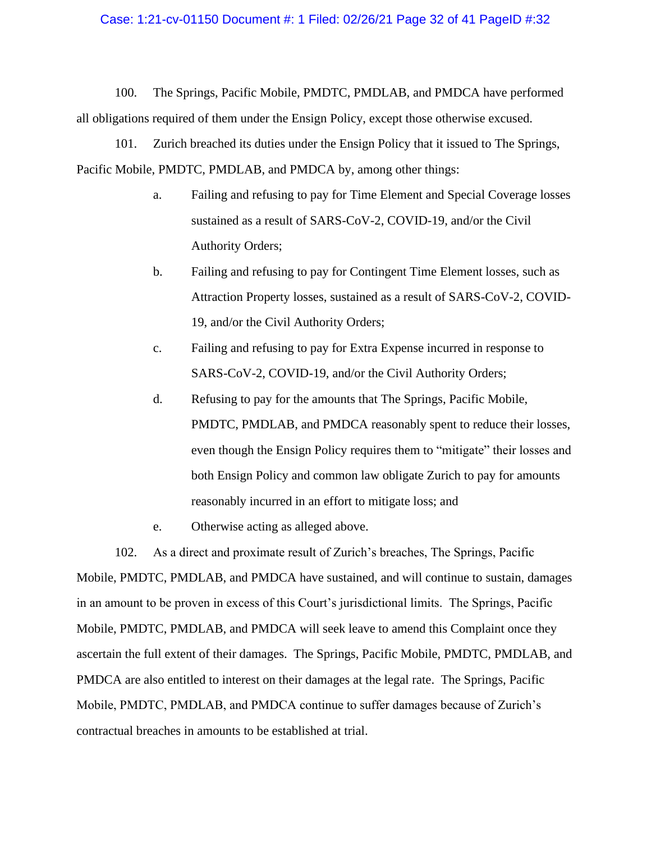## Case: 1:21-cv-01150 Document #: 1 Filed: 02/26/21 Page 32 of 41 PageID #:32

100. The Springs, Pacific Mobile, PMDTC, PMDLAB, and PMDCA have performed all obligations required of them under the Ensign Policy, except those otherwise excused.

101. Zurich breached its duties under the Ensign Policy that it issued to The Springs, Pacific Mobile, PMDTC, PMDLAB, and PMDCA by, among other things:

- a. Failing and refusing to pay for Time Element and Special Coverage losses sustained as a result of SARS-CoV-2, COVID-19, and/or the Civil Authority Orders;
- b. Failing and refusing to pay for Contingent Time Element losses, such as Attraction Property losses, sustained as a result of SARS-CoV-2, COVID-19, and/or the Civil Authority Orders;
- c. Failing and refusing to pay for Extra Expense incurred in response to SARS-CoV-2, COVID-19, and/or the Civil Authority Orders;
- d. Refusing to pay for the amounts that The Springs, Pacific Mobile, PMDTC, PMDLAB, and PMDCA reasonably spent to reduce their losses, even though the Ensign Policy requires them to "mitigate" their losses and both Ensign Policy and common law obligate Zurich to pay for amounts reasonably incurred in an effort to mitigate loss; and
- e. Otherwise acting as alleged above.

102. As a direct and proximate result of Zurich's breaches, The Springs, Pacific Mobile, PMDTC, PMDLAB, and PMDCA have sustained, and will continue to sustain, damages in an amount to be proven in excess of this Court's jurisdictional limits. The Springs, Pacific Mobile, PMDTC, PMDLAB, and PMDCA will seek leave to amend this Complaint once they ascertain the full extent of their damages. The Springs, Pacific Mobile, PMDTC, PMDLAB, and PMDCA are also entitled to interest on their damages at the legal rate. The Springs, Pacific Mobile, PMDTC, PMDLAB, and PMDCA continue to suffer damages because of Zurich's contractual breaches in amounts to be established at trial.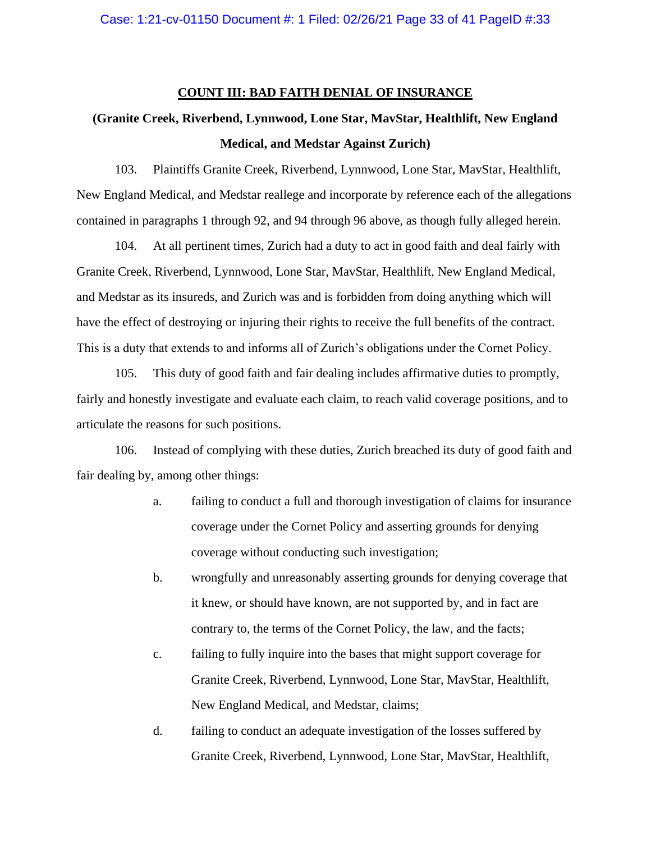## **COUNT III: BAD FAITH DENIAL OF INSURANCE**

# **(Granite Creek, Riverbend, Lynnwood, Lone Star, MavStar, Healthlift, New England Medical, and Medstar Against Zurich)**

103. Plaintiffs Granite Creek, Riverbend, Lynnwood, Lone Star, MavStar, Healthlift, New England Medical, and Medstar reallege and incorporate by reference each of the allegations contained in paragraphs 1 through 92, and 94 through 96 above, as though fully alleged herein.

104. At all pertinent times, Zurich had a duty to act in good faith and deal fairly with Granite Creek, Riverbend, Lynnwood, Lone Star, MavStar, Healthlift, New England Medical, and Medstar as its insureds, and Zurich was and is forbidden from doing anything which will have the effect of destroying or injuring their rights to receive the full benefits of the contract. This is a duty that extends to and informs all of Zurich's obligations under the Cornet Policy.

105. This duty of good faith and fair dealing includes affirmative duties to promptly, fairly and honestly investigate and evaluate each claim, to reach valid coverage positions, and to articulate the reasons for such positions.

106. Instead of complying with these duties, Zurich breached its duty of good faith and fair dealing by, among other things:

- a. failing to conduct a full and thorough investigation of claims for insurance coverage under the Cornet Policy and asserting grounds for denying coverage without conducting such investigation;
- b. wrongfully and unreasonably asserting grounds for denying coverage that it knew, or should have known, are not supported by, and in fact are contrary to, the terms of the Cornet Policy, the law, and the facts;
- c. failing to fully inquire into the bases that might support coverage for Granite Creek, Riverbend, Lynnwood, Lone Star, MavStar, Healthlift, New England Medical, and Medstar, claims;
- d. failing to conduct an adequate investigation of the losses suffered by Granite Creek, Riverbend, Lynnwood, Lone Star, MavStar, Healthlift,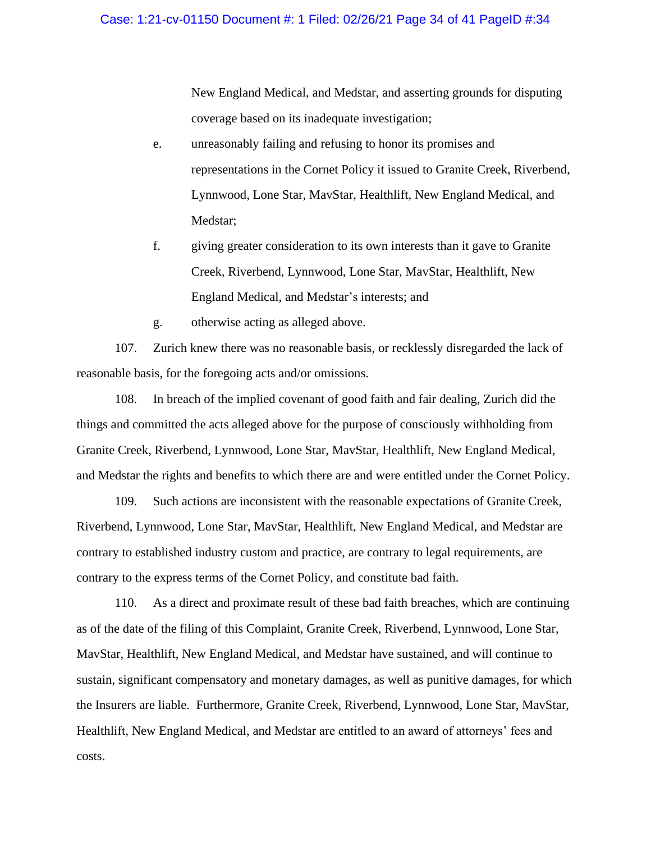New England Medical, and Medstar, and asserting grounds for disputing coverage based on its inadequate investigation;

- e. unreasonably failing and refusing to honor its promises and representations in the Cornet Policy it issued to Granite Creek, Riverbend, Lynnwood, Lone Star, MavStar, Healthlift, New England Medical, and Medstar;
- f. giving greater consideration to its own interests than it gave to Granite Creek, Riverbend, Lynnwood, Lone Star, MavStar, Healthlift, New England Medical, and Medstar's interests; and
- g. otherwise acting as alleged above.

107. Zurich knew there was no reasonable basis, or recklessly disregarded the lack of reasonable basis, for the foregoing acts and/or omissions.

108. In breach of the implied covenant of good faith and fair dealing, Zurich did the things and committed the acts alleged above for the purpose of consciously withholding from Granite Creek, Riverbend, Lynnwood, Lone Star, MavStar, Healthlift, New England Medical, and Medstar the rights and benefits to which there are and were entitled under the Cornet Policy.

109. Such actions are inconsistent with the reasonable expectations of Granite Creek, Riverbend, Lynnwood, Lone Star, MavStar, Healthlift, New England Medical, and Medstar are contrary to established industry custom and practice, are contrary to legal requirements, are contrary to the express terms of the Cornet Policy, and constitute bad faith.

110. As a direct and proximate result of these bad faith breaches, which are continuing as of the date of the filing of this Complaint, Granite Creek, Riverbend, Lynnwood, Lone Star, MavStar, Healthlift, New England Medical, and Medstar have sustained, and will continue to sustain, significant compensatory and monetary damages, as well as punitive damages, for which the Insurers are liable. Furthermore, Granite Creek, Riverbend, Lynnwood, Lone Star, MavStar, Healthlift, New England Medical, and Medstar are entitled to an award of attorneys' fees and costs.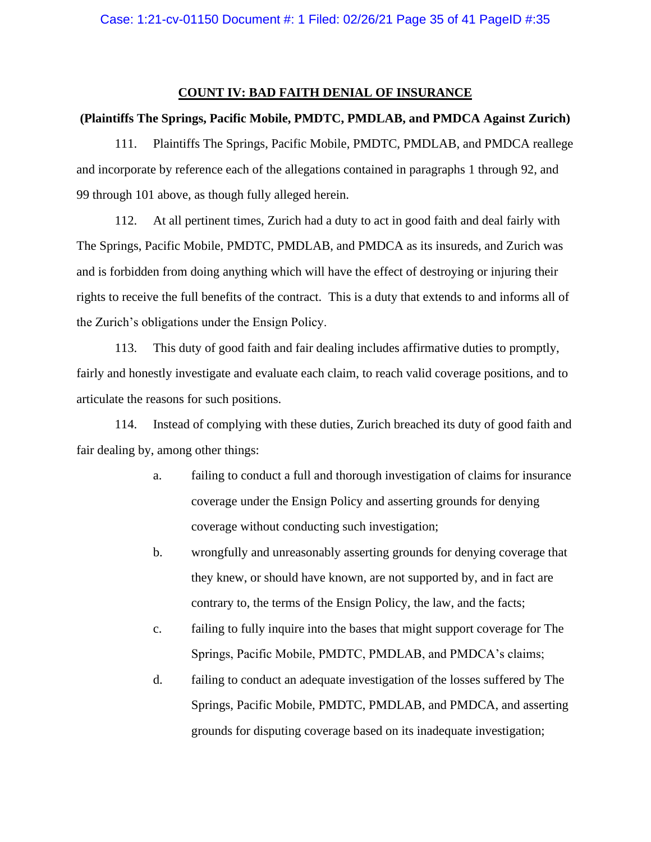# **COUNT IV: BAD FAITH DENIAL OF INSURANCE**

#### **(Plaintiffs The Springs, Pacific Mobile, PMDTC, PMDLAB, and PMDCA Against Zurich)**

111. Plaintiffs The Springs, Pacific Mobile, PMDTC, PMDLAB, and PMDCA reallege and incorporate by reference each of the allegations contained in paragraphs 1 through 92, and 99 through 101 above, as though fully alleged herein.

112. At all pertinent times, Zurich had a duty to act in good faith and deal fairly with The Springs, Pacific Mobile, PMDTC, PMDLAB, and PMDCA as its insureds, and Zurich was and is forbidden from doing anything which will have the effect of destroying or injuring their rights to receive the full benefits of the contract. This is a duty that extends to and informs all of the Zurich's obligations under the Ensign Policy.

113. This duty of good faith and fair dealing includes affirmative duties to promptly, fairly and honestly investigate and evaluate each claim, to reach valid coverage positions, and to articulate the reasons for such positions.

114. Instead of complying with these duties, Zurich breached its duty of good faith and fair dealing by, among other things:

- a. failing to conduct a full and thorough investigation of claims for insurance coverage under the Ensign Policy and asserting grounds for denying coverage without conducting such investigation;
- b. wrongfully and unreasonably asserting grounds for denying coverage that they knew, or should have known, are not supported by, and in fact are contrary to, the terms of the Ensign Policy, the law, and the facts;
- c. failing to fully inquire into the bases that might support coverage for The Springs, Pacific Mobile, PMDTC, PMDLAB, and PMDCA's claims;
- d. failing to conduct an adequate investigation of the losses suffered by The Springs, Pacific Mobile, PMDTC, PMDLAB, and PMDCA, and asserting grounds for disputing coverage based on its inadequate investigation;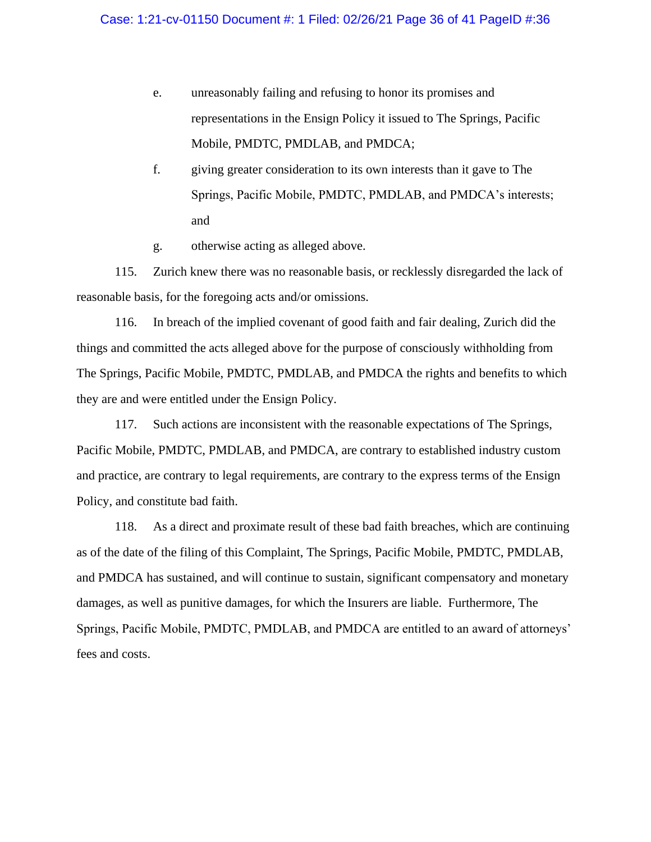- e. unreasonably failing and refusing to honor its promises and representations in the Ensign Policy it issued to The Springs, Pacific Mobile, PMDTC, PMDLAB, and PMDCA;
- f. giving greater consideration to its own interests than it gave to The Springs, Pacific Mobile, PMDTC, PMDLAB, and PMDCA's interests; and
- g. otherwise acting as alleged above.

115. Zurich knew there was no reasonable basis, or recklessly disregarded the lack of reasonable basis, for the foregoing acts and/or omissions.

116. In breach of the implied covenant of good faith and fair dealing, Zurich did the things and committed the acts alleged above for the purpose of consciously withholding from The Springs, Pacific Mobile, PMDTC, PMDLAB, and PMDCA the rights and benefits to which they are and were entitled under the Ensign Policy.

117. Such actions are inconsistent with the reasonable expectations of The Springs, Pacific Mobile, PMDTC, PMDLAB, and PMDCA, are contrary to established industry custom and practice, are contrary to legal requirements, are contrary to the express terms of the Ensign Policy, and constitute bad faith.

118. As a direct and proximate result of these bad faith breaches, which are continuing as of the date of the filing of this Complaint, The Springs, Pacific Mobile, PMDTC, PMDLAB, and PMDCA has sustained, and will continue to sustain, significant compensatory and monetary damages, as well as punitive damages, for which the Insurers are liable. Furthermore, The Springs, Pacific Mobile, PMDTC, PMDLAB, and PMDCA are entitled to an award of attorneys' fees and costs.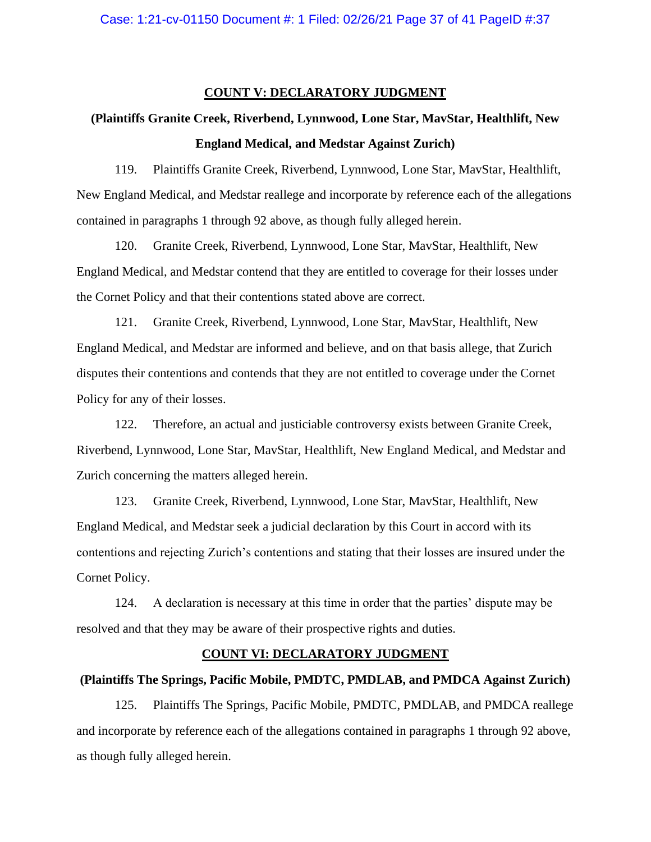#### **COUNT V: DECLARATORY JUDGMENT**

# **(Plaintiffs Granite Creek, Riverbend, Lynnwood, Lone Star, MavStar, Healthlift, New England Medical, and Medstar Against Zurich)**

119. Plaintiffs Granite Creek, Riverbend, Lynnwood, Lone Star, MavStar, Healthlift, New England Medical, and Medstar reallege and incorporate by reference each of the allegations contained in paragraphs 1 through 92 above, as though fully alleged herein.

120. Granite Creek, Riverbend, Lynnwood, Lone Star, MavStar, Healthlift, New England Medical, and Medstar contend that they are entitled to coverage for their losses under the Cornet Policy and that their contentions stated above are correct.

121. Granite Creek, Riverbend, Lynnwood, Lone Star, MavStar, Healthlift, New England Medical, and Medstar are informed and believe, and on that basis allege, that Zurich disputes their contentions and contends that they are not entitled to coverage under the Cornet Policy for any of their losses.

122. Therefore, an actual and justiciable controversy exists between Granite Creek, Riverbend, Lynnwood, Lone Star, MavStar, Healthlift, New England Medical, and Medstar and Zurich concerning the matters alleged herein.

123. Granite Creek, Riverbend, Lynnwood, Lone Star, MavStar, Healthlift, New England Medical, and Medstar seek a judicial declaration by this Court in accord with its contentions and rejecting Zurich's contentions and stating that their losses are insured under the Cornet Policy.

124. A declaration is necessary at this time in order that the parties' dispute may be resolved and that they may be aware of their prospective rights and duties.

# **COUNT VI: DECLARATORY JUDGMENT**

#### **(Plaintiffs The Springs, Pacific Mobile, PMDTC, PMDLAB, and PMDCA Against Zurich)**

125. Plaintiffs The Springs, Pacific Mobile, PMDTC, PMDLAB, and PMDCA reallege and incorporate by reference each of the allegations contained in paragraphs 1 through 92 above, as though fully alleged herein.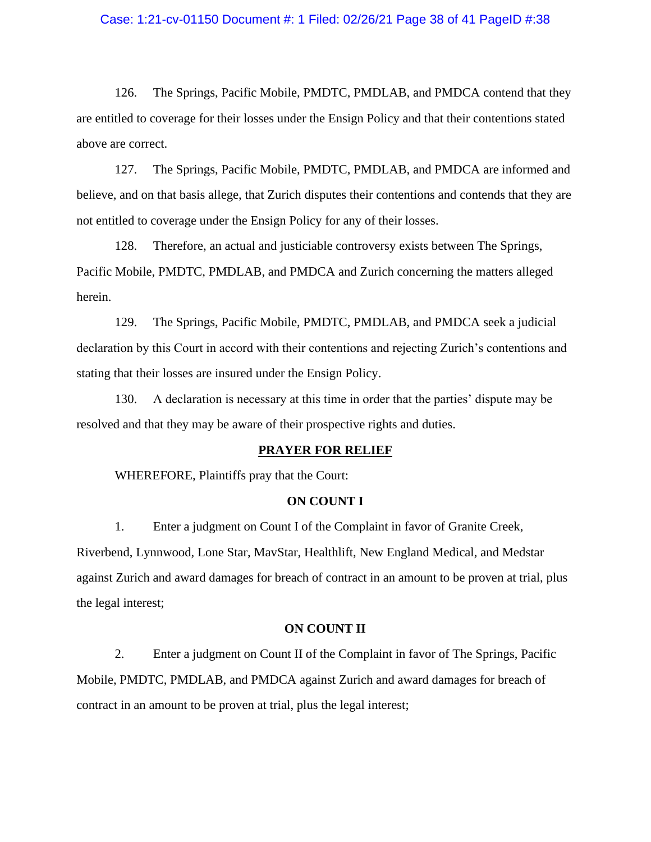## Case: 1:21-cv-01150 Document #: 1 Filed: 02/26/21 Page 38 of 41 PageID #:38

126. The Springs, Pacific Mobile, PMDTC, PMDLAB, and PMDCA contend that they are entitled to coverage for their losses under the Ensign Policy and that their contentions stated above are correct.

127. The Springs, Pacific Mobile, PMDTC, PMDLAB, and PMDCA are informed and believe, and on that basis allege, that Zurich disputes their contentions and contends that they are not entitled to coverage under the Ensign Policy for any of their losses.

128. Therefore, an actual and justiciable controversy exists between The Springs, Pacific Mobile, PMDTC, PMDLAB, and PMDCA and Zurich concerning the matters alleged herein.

129. The Springs, Pacific Mobile, PMDTC, PMDLAB, and PMDCA seek a judicial declaration by this Court in accord with their contentions and rejecting Zurich's contentions and stating that their losses are insured under the Ensign Policy.

130. A declaration is necessary at this time in order that the parties' dispute may be resolved and that they may be aware of their prospective rights and duties.

#### **PRAYER FOR RELIEF**

WHEREFORE, Plaintiffs pray that the Court:

#### **ON COUNT I**

1. Enter a judgment on Count I of the Complaint in favor of Granite Creek, Riverbend, Lynnwood, Lone Star, MavStar, Healthlift, New England Medical, and Medstar against Zurich and award damages for breach of contract in an amount to be proven at trial, plus the legal interest;

#### **ON COUNT II**

2. Enter a judgment on Count II of the Complaint in favor of The Springs, Pacific Mobile, PMDTC, PMDLAB, and PMDCA against Zurich and award damages for breach of contract in an amount to be proven at trial, plus the legal interest;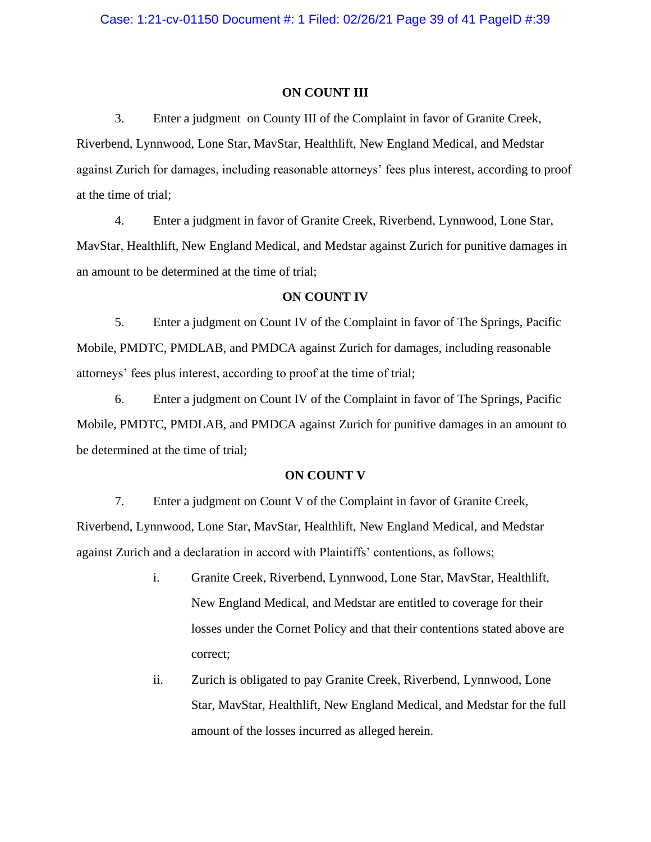#### **ON COUNT III**

3. Enter a judgment on County III of the Complaint in favor of Granite Creek, Riverbend, Lynnwood, Lone Star, MavStar, Healthlift, New England Medical, and Medstar against Zurich for damages, including reasonable attorneys' fees plus interest, according to proof at the time of trial;

4. Enter a judgment in favor of Granite Creek, Riverbend, Lynnwood, Lone Star, MavStar, Healthlift, New England Medical, and Medstar against Zurich for punitive damages in an amount to be determined at the time of trial;

## **ON COUNT IV**

5. Enter a judgment on Count IV of the Complaint in favor of The Springs, Pacific Mobile, PMDTC, PMDLAB, and PMDCA against Zurich for damages, including reasonable attorneys' fees plus interest, according to proof at the time of trial;

6. Enter a judgment on Count IV of the Complaint in favor of The Springs, Pacific Mobile, PMDTC, PMDLAB, and PMDCA against Zurich for punitive damages in an amount to be determined at the time of trial;

#### **ON COUNT V**

7. Enter a judgment on Count V of the Complaint in favor of Granite Creek, Riverbend, Lynnwood, Lone Star, MavStar, Healthlift, New England Medical, and Medstar against Zurich and a declaration in accord with Plaintiffs' contentions, as follows;

- i. Granite Creek, Riverbend, Lynnwood, Lone Star, MavStar, Healthlift, New England Medical, and Medstar are entitled to coverage for their losses under the Cornet Policy and that their contentions stated above are correct;
- ii. Zurich is obligated to pay Granite Creek, Riverbend, Lynnwood, Lone Star, MavStar, Healthlift, New England Medical, and Medstar for the full amount of the losses incurred as alleged herein.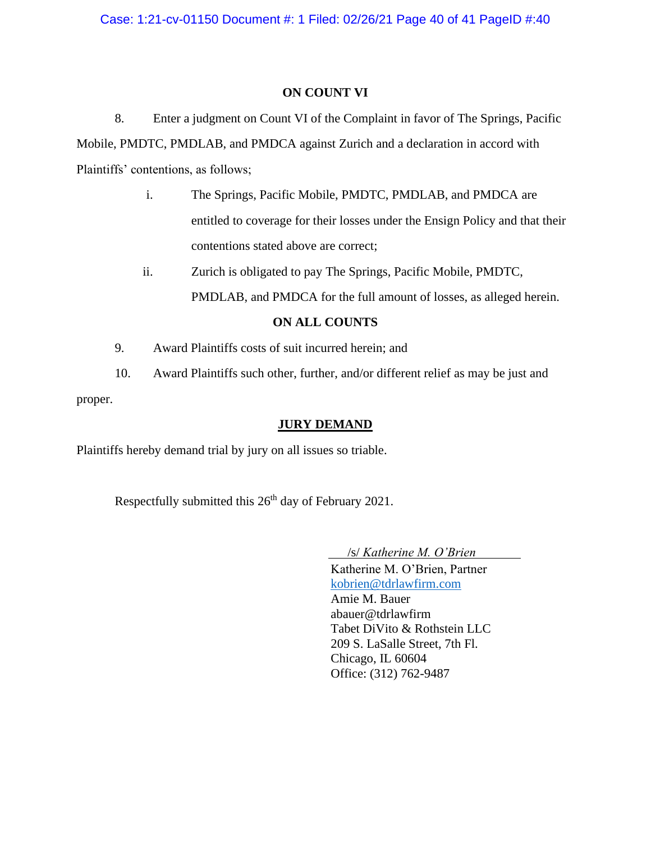# **ON COUNT VI**

8. Enter a judgment on Count VI of the Complaint in favor of The Springs, Pacific Mobile, PMDTC, PMDLAB, and PMDCA against Zurich and a declaration in accord with Plaintiffs' contentions, as follows;

- i. The Springs, Pacific Mobile, PMDTC, PMDLAB, and PMDCA are entitled to coverage for their losses under the Ensign Policy and that their contentions stated above are correct;
- ii. Zurich is obligated to pay The Springs, Pacific Mobile, PMDTC, PMDLAB, and PMDCA for the full amount of losses, as alleged herein.

# **ON ALL COUNTS**

- 9. Award Plaintiffs costs of suit incurred herein; and
- 10. Award Plaintiffs such other, further, and/or different relief as may be just and proper.

# **JURY DEMAND**

Plaintiffs hereby demand trial by jury on all issues so triable.

Respectfully submitted this 26<sup>th</sup> day of February 2021.

 /s/ *Katherine M. O'Brien* Katherine M. O'Brien, Partner [kobrien@tdrlawfirm.com](mailto:kobrien@tdrlawfirm.com) Amie M. Bauer abauer@tdrlawfirm Tabet DiVito & Rothstein LLC 209 S. LaSalle Street, 7th Fl. Chicago, IL 60604 Office: (312) 762-9487